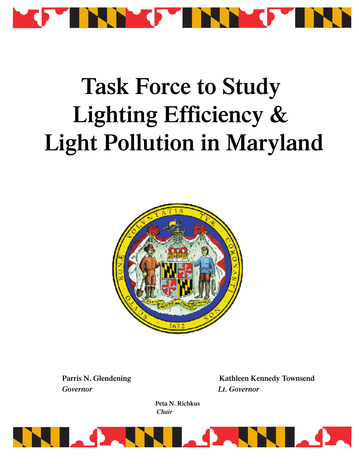

# **Task Force to Study Lighting Efficiency & Light Pollution in Maryland**



*Governor Lt. Governor*

**Parris N. Glendening Kathleen Kennedy Townsend**

**Peta N. Richkus** *Chair*

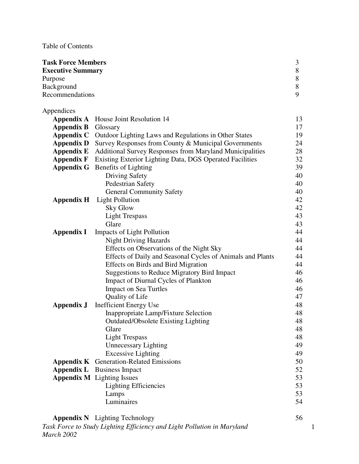Table of Contents

Appendices

| <b>Task Force Members</b> |   |
|---------------------------|---|
| <b>Executive Summary</b>  | 8 |
| Purpose                   | 8 |
| Background                | 8 |
| Recommendations           | Q |

|                   | <b>Appendix A</b> House Joint Resolution 14                     | 13 |
|-------------------|-----------------------------------------------------------------|----|
| <b>Appendix B</b> | Glossary                                                        | 17 |
| <b>Appendix C</b> | Outdoor Lighting Laws and Regulations in Other States           | 19 |
| <b>Appendix D</b> | Survey Responses from County & Municipal Governments            | 24 |
| <b>Appendix E</b> | <b>Additional Survey Responses from Maryland Municipalities</b> | 28 |
| <b>Appendix F</b> | Existing Exterior Lighting Data, DGS Operated Facilities        | 32 |
| <b>Appendix G</b> | Benefits of Lighting                                            | 39 |
|                   | <b>Driving Safety</b>                                           | 40 |
|                   | Pedestrian Safety                                               | 40 |
|                   | <b>General Community Safety</b>                                 | 40 |
| <b>Appendix H</b> | <b>Light Pollution</b>                                          | 42 |
|                   | <b>Sky Glow</b>                                                 | 42 |
|                   | <b>Light Trespass</b>                                           | 43 |
|                   | Glare                                                           | 43 |
| <b>Appendix I</b> | <b>Impacts of Light Pollution</b>                               | 44 |
|                   | <b>Night Driving Hazards</b>                                    | 44 |
|                   | Effects on Observations of the Night Sky                        | 44 |
|                   | Effects of Daily and Seasonal Cycles of Animals and Plants      | 44 |
|                   | <b>Effects</b> on Birds and Bird Migration                      | 44 |
|                   | <b>Suggestions to Reduce Migratory Bird Impact</b>              | 46 |
|                   | Impact of Diurnal Cycles of Plankton                            | 46 |
|                   | <b>Impact on Sea Turtles</b>                                    | 46 |
|                   | Quality of Life                                                 | 47 |
| <b>Appendix J</b> | <b>Inefficient Energy Use</b>                                   | 48 |
|                   | Inappropriate Lamp/Fixture Selection                            | 48 |
|                   | <b>Outdated/Obsolete Existing Lighting</b>                      | 48 |
|                   | Glare                                                           | 48 |
|                   | <b>Light Trespass</b>                                           | 48 |
|                   | <b>Unnecessary Lighting</b>                                     | 49 |
|                   | <b>Excessive Lighting</b>                                       | 49 |
|                   | <b>Appendix K</b> Generation-Related Emissions                  | 50 |
| <b>Appendix L</b> | <b>Business Impact</b>                                          | 52 |
|                   | <b>Appendix M</b> Lighting Issues                               | 53 |
|                   | <b>Lighting Efficiencies</b>                                    | 53 |
|                   | Lamps                                                           | 53 |
|                   | Luminaires                                                      | 54 |

| <b>Appendix N</b> Lighting Technology                                   | 56 |
|-------------------------------------------------------------------------|----|
| Task Force to Study Lighting Efficiency and Light Pollution in Maryland |    |
| March 2002                                                              |    |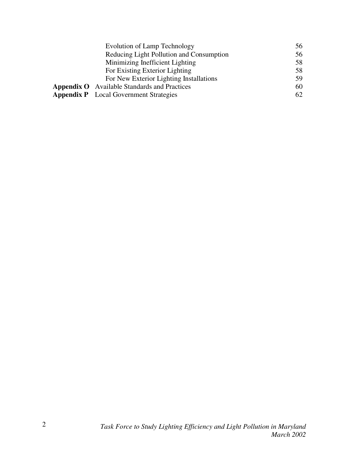| Evolution of Lamp Technology                        | 56 |
|-----------------------------------------------------|----|
| Reducing Light Pollution and Consumption            | 56 |
| Minimizing Inefficient Lighting                     | 58 |
| For Existing Exterior Lighting                      | 58 |
| For New Exterior Lighting Installations             | 59 |
| <b>Appendix O</b> Available Standards and Practices | 60 |
| <b>Appendix P</b> Local Government Strategies       | 62 |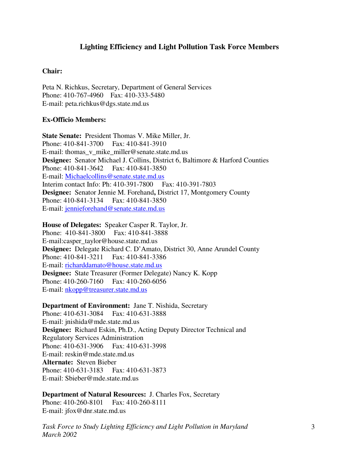# **Lighting Efficiency and Light Pollution Task Force Members**

#### **Chair:**

Peta N. Richkus, Secretary, Department of General Services Phone: 410-767-4960 Fax: 410-333-5480 E-mail: peta.richkus@dgs.state.md.us

#### **Ex-Officio Members:**

**State Senate:** President Thomas V. Mike Miller, Jr. Phone: 410-841-3700 Fax: 410-841-3910 E-mail: thomas v mike miller@senate.state.md.us **Designee:** Senator Michael J. Collins, District 6, Baltimore & Harford Counties Phone: 410-841-3642 Fax: 410-841-3850 E-mail: Michaelcollins@senate.state.md.us Interim contact Info: Ph: 410-391-7800 Fax: 410-391-7803 **Designee:** Senator Jennie M. Forehand**,** District 17, Montgomery County Phone: 410-841-3134 Fax: 410-841-3850 E-mail: jennieforehand@senate.state.md.us

**House of Delegates:** Speaker Casper R. Taylor, Jr. Phone: 410-841-3800 Fax: 410-841-3888 E-mail:casper\_taylor@house.state.md.us **Designee:** Delegate Richard C. D'Amato, District 30, Anne Arundel County Phone: 410-841-3211 Fax: 410-841-3386 E-mail: richarddamato@house.state.md.us **Designee:** State Treasurer (Former Delegate) Nancy K. Kopp Phone: 410-260-7160 Fax: 410-260-6056 E-mail: nkopp@treasurer.state.md.us

**Department of Environment:** Jane T. Nishida, Secretary Phone: 410-631-3084 Fax: 410-631-3888 E-mail: jnishida@mde.state.md.us **Designee:** Richard Eskin, Ph.D., Acting Deputy Director Technical and Regulatory Services Administration Phone: 410-631-3906 Fax: 410-631-3998 E-mail: reskin@mde.state.md.us **Alternate:** Steven Bieber Phone: 410-631-3183 Fax: 410-631-3873 E-mail: Sbieber@mde.state.md.us

**Department of Natural Resources:** J. Charles Fox, Secretary Phone: 410-260-8101 Fax: 410-260-8111 E-mail: jfox@dnr.state.md.us

*Task Force to Study Lighting Efficiency and Light Pollution in Maryland March 2002*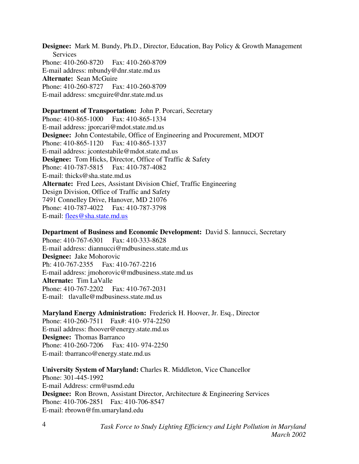**Designee:** Mark M. Bundy, Ph.D., Director, Education, Bay Policy & Growth Management **Services** Phone: 410-260-8720 Fax: 410-260-8709 E-mail address: mbundy@dnr.state.md.us **Alternate:** Sean McGuire Phone: 410-260-8727 Fax: 410-260-8709 E-mail address: smcguire@dnr.state.md.us

#### **Department of Transportation:** John P. Porcari, Secretary

Phone: 410-865-1000 Fax: 410-865-1334 E-mail address: jporcari@mdot.state.md.us **Designee:** John Contestabile, Office of Engineering and Procurement, MDOT Phone: 410-865-1120 Fax: 410-865-1337 E-mail address: jcontestabile@mdot.state.md.us **Designee:** Tom Hicks, Director, Office of Traffic & Safety Phone: 410-787-5815 Fax: 410-787-4082 E-mail: thicks@sha.state.md.us **Alternate:** Fred Lees, Assistant Division Chief, Traffic Engineering Design Division, Office of Traffic and Safety 7491 Connelley Drive, Hanover, MD 21076 Phone: 410-787-4022 Fax: 410-787-3798 E-mail: flees@sha.state.md.us

**Department of Business and Economic Development:** David S. Iannucci, Secretary Phone: 410-767-6301 Fax: 410-333-8628 E-mail address: diannucci@mdbusiness.state.md.us **Designee:** Jake Mohorovic Ph: 410-767-2355 Fax: 410-767-2216 E-mail address: jmohorovic@mdbusiness.state.md.us **Alternate:** Tim LaValle Phone: 410-767-2202 Fax: 410-767-2031 E-mail: tlavalle@mdbusiness.state.md.us

#### **Maryland Energy Administration:** Frederick H. Hoover, Jr. Esq., Director

Phone: 410-260-7511 Fax#: 410- 974-2250 E-mail address: fhoover@energy.state.md.us **Designee:** Thomas Barranco Phone: 410-260-7206 Fax: 410- 974-2250 E-mail: tbarranco@energy.state.md.us

#### **University System of Maryland:** Charles R. Middleton, Vice Chancellor

Phone: 301-445-1992 E-mail Address: crm@usmd.edu **Designee:** Ron Brown, Assistant Director, Architecture & Engineering Services Phone: 410-706-2851 Fax: 410-706-8547 E-mail: rbrown@fm.umaryland.edu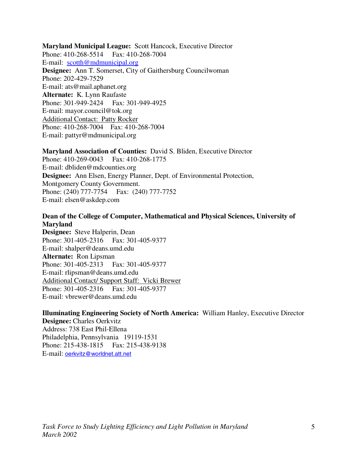**Maryland Municipal League:** Scott Hancock, Executive Director Phone: 410-268-5514 Fax: 410-268-7004 E-mail: scotth@mdmunicipal.org **Designee:** Ann T. Somerset, City of Gaithersburg Councilwoman Phone: 202-429-7529 E-mail: ats@mail.aphanet.org **Alternate:** K. Lynn Raufaste Phone: 301-949-2424 Fax: 301-949-4925 E-mail: mayor.council@tok.org Additional Contact: Patty Rocker Phone: 410-268-7004 Fax: 410-268-7004 E-mail: pattyr@mdmunicipal.org

**Maryland Association of Counties:** David S. Bliden, Executive Director Phone: 410-269-0043 Fax: 410-268-1775 E-mail: dbliden@mdcounties.org **Designee:** Ann Elsen, Energy Planner, Dept. of Environmental Protection, Montgomery County Government. Phone: (240) 777-7754 Fax: (240) 777-7752 E-mail: elsen@askdep.com

# **Dean of the College of Computer, Mathematical and Physical Sciences, University of Maryland**

**Designee:** Steve Halperin, Dean Phone: 301-405-2316 Fax: 301-405-9377 E-mail: shalper@deans.umd.edu **Alternate:** Ron Lipsman Phone: 301-405-2313 Fax: 301-405-9377 E-mail: rlipsman@deans.umd.edu Additional Contact/ Support Staff: Vicki Brewer Phone: 301-405-2316 Fax: 301-405-9377 E-mail: vbrewer@deans.umd.edu

**Illuminating Engineering Society of North America:** William Hanley, Executive Director **Designee:** Charles Oerkvitz Address: 738 East Phil-Ellena

Philadelphia, Pennsylvania 19119-1531 Phone: 215-438-1815 Fax: 215-438-9138 E-mail: oerkvitz@worldnet.att.net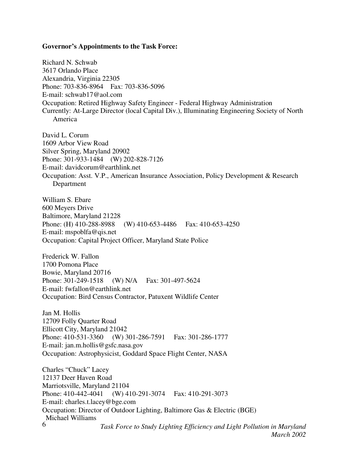#### **Governor's Appointments to the Task Force:**

Richard N. Schwab 3617 Orlando Place Alexandria, Virginia 22305 Phone: 703-836-8964 Fax: 703-836-5096 E-mail: schwab17@aol.com Occupation: Retired Highway Safety Engineer - Federal Highway Administration Currently: At-Large Director (local Capital Div.), Illuminating Engineering Society of North America

David L. Corum 1609 Arbor View Road Silver Spring, Maryland 20902 Phone: 301-933-1484 (W) 202-828-7126 E-mail: davidcorum@earthlink.net Occupation: Asst. V.P., American Insurance Association, Policy Development & Research Department

William S. Ebare 600 Meyers Drive Baltimore, Maryland 21228 Phone: (H) 410-288-8988 (W) 410-653-4486 Fax: 410-653-4250 E-mail: mspoblfa@qis.net Occupation: Capital Project Officer, Maryland State Police

Frederick W. Fallon 1700 Pomona Place Bowie, Maryland 20716 Phone: 301-249-1518 (W) N/A Fax: 301-497-5624 E-mail: fwfallon@earthlink.net Occupation: Bird Census Contractor, Patuxent Wildlife Center

Jan M. Hollis 12709 Folly Quarter Road Ellicott City, Maryland 21042 Phone: 410-531-3360 (W) 301-286-7591 Fax: 301-286-1777 E-mail: jan.m.hollis@gsfc.nasa.gov Occupation: Astrophysicist, Goddard Space Flight Center, NASA

*Task Force to Study Lighting Efficiency and Light Pollution in Maryland March 2002* 6 Charles "Chuck" Lacey 12137 Deer Haven Road Marriotsville, Maryland 21104 Phone: 410-442-4041 (W) 410-291-3074 Fax: 410-291-3073 E-mail: charles.t.lacey@bge.com Occupation: Director of Outdoor Lighting, Baltimore Gas & Electric (BGE) Michael Williams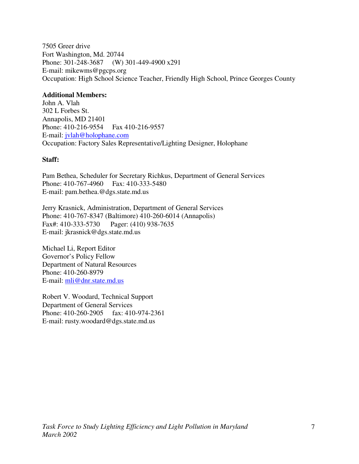7505 Greer drive Fort Washington, Md. 20744 Phone: 301-248-3687 (W) 301-449-4900 x291 E-mail: mikewms@pgcps.org Occupation: High School Science Teacher, Friendly High School, Prince Georges County

#### **Additional Members:**

John A. Vlah 302 L Forbes St. Annapolis, MD 21401 Phone: 410-216-9554 Fax 410-216-9557 E-mail: jvlah@holophane.com Occupation: Factory Sales Representative/Lighting Designer, Holophane

### **Staff:**

Pam Bethea, Scheduler for Secretary Richkus, Department of General Services Phone: 410-767-4960 Fax: 410-333-5480 E-mail: pam.bethea.@dgs.state.md.us

Jerry Krasnick, Administration, Department of General Services Phone: 410-767-8347 (Baltimore) 410-260-6014 (Annapolis)<br>Fax#: 410-333-5730 Pager: (410) 938-7635 Pager: (410) 938-7635 E-mail: jkrasnick@dgs.state.md.us

Michael Li, Report Editor Governor's Policy Fellow Department of Natural Resources Phone: 410-260-8979 E-mail: mli@dnr.state.md.us

Robert V. Woodard, Technical Support Department of General Services Phone: 410-260-2905 fax: 410-974-2361 E-mail: rusty.woodard@dgs.state.md.us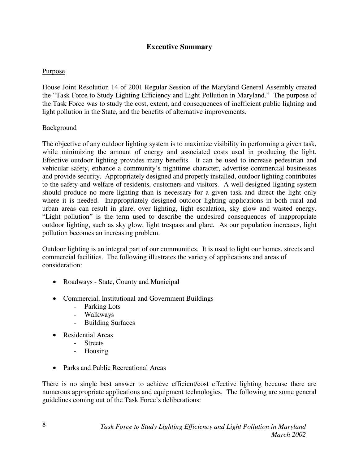# **Executive Summary**

# Purpose

House Joint Resolution 14 of 2001 Regular Session of the Maryland General Assembly created the "Task Force to Study Lighting Efficiency and Light Pollution in Maryland." The purpose of the Task Force was to study the cost, extent, and consequences of inefficient public lighting and light pollution in the State, and the benefits of alternative improvements.

### Background

The objective of any outdoor lighting system is to maximize visibility in performing a given task, while minimizing the amount of energy and associated costs used in producing the light. Effective outdoor lighting provides many benefits. It can be used to increase pedestrian and vehicular safety, enhance a community's nighttime character, advertise commercial businesses and provide security. Appropriately designed and properly installed, outdoor lighting contributes to the safety and welfare of residents, customers and visitors. A well-designed lighting system should produce no more lighting than is necessary for a given task and direct the light only where it is needed. Inappropriately designed outdoor lighting applications in both rural and urban areas can result in glare, over lighting, light escalation, sky glow and wasted energy. "Light pollution" is the term used to describe the undesired consequences of inappropriate outdoor lighting, such as sky glow, light trespass and glare. As our population increases, light pollution becomes an increasing problem.

Outdoor lighting is an integral part of our communities. It is used to light our homes, streets and commercial facilities. The following illustrates the variety of applications and areas of consideration:

- Roadways State, County and Municipal
- Commercial, Institutional and Government Buildings
	- Parking Lots
	- Walkways
	- Building Surfaces
- Residential Areas
	- Streets
	- Housing
- Parks and Public Recreational Areas

There is no single best answer to achieve efficient/cost effective lighting because there are numerous appropriate applications and equipment technologies. The following are some general guidelines coming out of the Task Force's deliberations: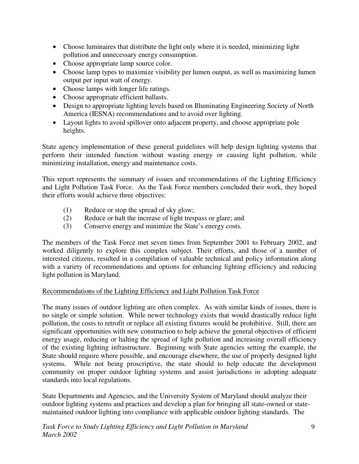- Choose luminaires that distribute the light only where it is needed, minimizing light pollution and unnecessary energy consumption.
- Choose appropriate lamp source color.
- Choose lamp types to maximize visibility per lumen output, as well as maximizing lumen output per input watt of energy.
- Choose lamps with longer life ratings.
- Choose appropriate efficient ballasts.
- Design to appropriate lighting levels based on Illuminating Engineering Society of North America (IESNA) recommendations and to avoid over lighting.
- Layout lights to avoid spillover onto adjacent property, and choose appropriate pole heights.

State agency implementation of these general guidelines will help design lighting systems that perform their intended function without wasting energy or causing light pollution, while minimizing installation, energy and maintenance costs.

This report represents the summary of issues and recommendations of the Lighting Efficiency and Light Pollution Task Force. As the Task Force members concluded their work, they hoped their efforts would achieve three objectives:

- (1) Reduce or stop the spread of sky glow;
- (2) Reduce or halt the increase of light trespass or glare; and
- (3) Conserve energy and minimize the State's energy costs.

The members of the Task Force met seven times from September 2001 to February 2002, and worked diligently to explore this complex subject. Their efforts, and those of a number of interested citizens, resulted in a compilation of valuable technical and policy information along with a variety of recommendations and options for enhancing lighting efficiency and reducing light pollution in Maryland.

# Recommendations of the Lighting Efficiency and Light Pollution Task Force

The many issues of outdoor lighting are often complex. As with similar kinds of issues, there is no single or simple solution. While newer technology exists that would drastically reduce light pollution, the costs to retrofit or replace all existing fixtures would be prohibitive. Still, there are significant opportunities with new construction to help achieve the general objectives of efficient energy usage, reducing or halting the spread of light pollution and increasing overall efficiency of the existing lighting infrastructure. Beginning with State agencies setting the example, the State should require where possible, and encourage elsewhere, the use of properly designed light systems. While not being proscriptive, the state should to help educate the development community on proper outdoor lighting systems and assist jurisdictions in adopting adequate standards into local regulations.

State Departments and Agencies, and the University System of Maryland should analyze their outdoor lighting systems and practices and develop a plan for bringing all state-owned or statemaintained outdoor lighting into compliance with applicable outdoor lighting standards. The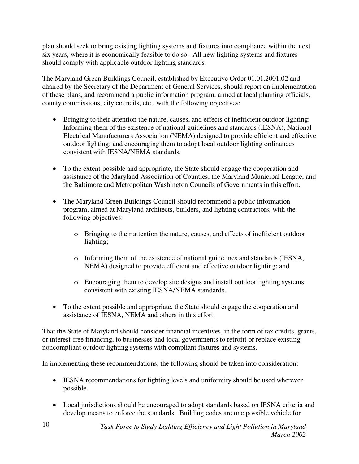plan should seek to bring existing lighting systems and fixtures into compliance within the next six years, where it is economically feasible to do so. All new lighting systems and fixtures should comply with applicable outdoor lighting standards.

The Maryland Green Buildings Council, established by Executive Order 01.01.2001.02 and chaired by the Secretary of the Department of General Services, should report on implementation of these plans, and recommend a public information program, aimed at local planning officials, county commissions, city councils, etc., with the following objectives:

- Bringing to their attention the nature, causes, and effects of inefficient outdoor lighting; Informing them of the existence of national guidelines and standards (IESNA), National Electrical Manufacturers Association (NEMA) designed to provide efficient and effective outdoor lighting; and encouraging them to adopt local outdoor lighting ordinances consistent with IESNA/NEMA standards.
- To the extent possible and appropriate, the State should engage the cooperation and assistance of the Maryland Association of Counties, the Maryland Municipal League, and the Baltimore and Metropolitan Washington Councils of Governments in this effort.
- The Maryland Green Buildings Council should recommend a public information program, aimed at Maryland architects, builders, and lighting contractors, with the following objectives:
	- o Bringing to their attention the nature, causes, and effects of inefficient outdoor lighting;
	- o Informing them of the existence of national guidelines and standards (IESNA, NEMA) designed to provide efficient and effective outdoor lighting; and
	- o Encouraging them to develop site designs and install outdoor lighting systems consistent with existing IESNA/NEMA standards.
- To the extent possible and appropriate, the State should engage the cooperation and assistance of IESNA, NEMA and others in this effort.

That the State of Maryland should consider financial incentives, in the form of tax credits, grants, or interest-free financing, to businesses and local governments to retrofit or replace existing noncompliant outdoor lighting systems with compliant fixtures and systems.

In implementing these recommendations, the following should be taken into consideration:

- IESNA recommendations for lighting levels and uniformity should be used wherever possible.
- Local jurisdictions should be encouraged to adopt standards based on IESNA criteria and develop means to enforce the standards. Building codes are one possible vehicle for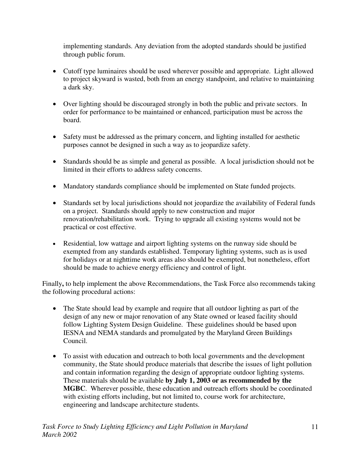implementing standards. Any deviation from the adopted standards should be justified through public forum.

- Cutoff type luminaires should be used wherever possible and appropriate. Light allowed to project skyward is wasted, both from an energy standpoint, and relative to maintaining a dark sky.
- Over lighting should be discouraged strongly in both the public and private sectors. In order for performance to be maintained or enhanced, participation must be across the board.
- Safety must be addressed as the primary concern, and lighting installed for aesthetic purposes cannot be designed in such a way as to jeopardize safety.
- Standards should be as simple and general as possible. A local jurisdiction should not be limited in their efforts to address safety concerns.
- Mandatory standards compliance should be implemented on State funded projects.
- Standards set by local jurisdictions should not jeopardize the availability of Federal funds on a project. Standards should apply to new construction and major renovation/rehabilitation work. Trying to upgrade all existing systems would not be practical or cost effective.
- Residential, low wattage and airport lighting systems on the runway side should be exempted from any standards established. Temporary lighting systems, such as is used for holidays or at nighttime work areas also should be exempted, but nonetheless, effort should be made to achieve energy efficiency and control of light.

Finally, to help implement the above Recommendations, the Task Force also recommends taking the following procedural actions:

- The State should lead by example and require that all outdoor lighting as part of the design of any new or major renovation of any State owned or leased facility should follow Lighting System Design Guideline. These guidelines should be based upon IESNA and NEMA standards and promulgated by the Maryland Green Buildings Council.
- To assist with education and outreach to both local governments and the development community, the State should produce materials that describe the issues of light pollution and contain information regarding the design of appropriate outdoor lighting systems. These materials should be available **by July 1, 2003 or as recommended by the MGBC**. Wherever possible, these education and outreach efforts should be coordinated with existing efforts including, but not limited to, course work for architecture, engineering and landscape architecture students.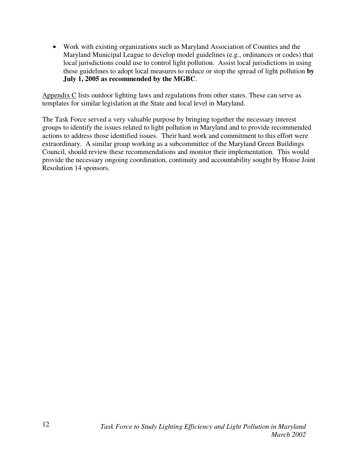• Work with existing organizations such as Maryland Association of Counties and the Maryland Municipal League to develop model guidelines (e.g., ordinances or codes) that local jurisdictions could use to control light pollution. Assist local jurisdictions in using these guidelines to adopt local measures to reduce or stop the spread of light pollution **by July 1, 2005 as recommended by the MGBC**.

Appendix C lists outdoor lighting laws and regulations from other states. These can serve as templates for similar legislation at the State and local level in Maryland.

The Task Force served a very valuable purpose by bringing together the necessary interest groups to identify the issues related to light pollution in Maryland and to provide recommended actions to address those identified issues. Their hard work and commitment to this effort were extraordinary. A similar group working as a subcommittee of the Maryland Green Buildings Council, should review these recommendations and monitor their implementation. This would provide the necessary ongoing coordination, continuity and accountability sought by House Joint Resolution 14 sponsors.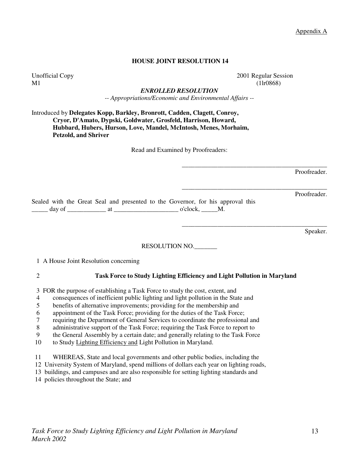Appendix A

#### **HOUSE JOINT RESOLUTION 14**

Unofficial Copy 2001 Regular Session

 $M1$  (1lr0868)

\_\_\_\_\_\_\_\_\_\_\_\_\_\_\_\_\_\_\_\_\_\_\_\_\_\_\_\_\_\_\_\_\_\_\_\_\_\_\_\_\_\_\_\_\_

\_\_\_\_\_\_\_\_\_\_\_\_\_\_\_\_\_\_\_\_\_\_\_\_\_\_\_\_\_\_\_\_\_\_\_\_\_\_\_\_\_\_\_\_\_

\_\_\_\_\_\_\_\_\_\_\_\_\_\_\_\_\_\_\_\_\_\_\_\_\_\_\_\_\_\_\_\_\_\_\_\_\_\_\_\_\_\_\_\_\_

*ENROLLED RESOLUTION -- Appropriations/Economic and Environmental Affairs --* 

Introduced by **Delegates Kopp, Barkley, Bronrott, Cadden, Clagett, Conroy, Cryor, D'Amato, Dypski, Goldwater, Grosfeld, Harrison, Howard, Hubbard, Hubers, Hurson, Love, Mandel, McIntosh, Menes, Morhaim, Petzold, and Shriver** 

Read and Examined by Proofreaders:

Proofreader.

Proofreader.

Sealed with the Great Seal and presented to the Governor, for his approval this  $\frac{1}{\text{day of}}$  at  $\frac{1}{\text{day of}}$  at  $\frac{1}{\text{day of}}$  o'clock,  $\frac{1}{\text{day of}}$ 

Speaker.

#### RESOLUTION NO.\_\_\_\_\_\_\_

1 A House Joint Resolution concerning

#### 2 **Task Force to Study Lighting Efficiency and Light Pollution in Maryland**

3 FOR the purpose of establishing a Task Force to study the cost, extent, and

- 4 consequences of inefficient public lighting and light pollution in the State and
- 5 benefits of alternative improvements; providing for the membership and
- 6 appointment of the Task Force; providing for the duties of the Task Force;
- 7 requiring the Department of General Services to coordinate the professional and
- 8 administrative support of the Task Force; requiring the Task Force to report to
- 9 the General Assembly by a certain date; and generally relating to the Task Force
- 10 to Study Lighting Efficiency and Light Pollution in Maryland.
- 11 WHEREAS, State and local governments and other public bodies, including the
- 12 University System of Maryland, spend millions of dollars each year on lighting roads,
- 13 buildings, and campuses and are also responsible for setting lighting standards and
- 14 policies throughout the State; and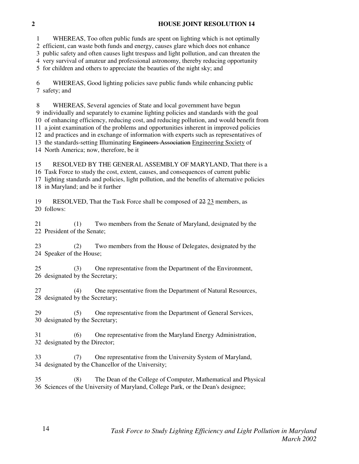#### **2 HOUSE JOINT RESOLUTION 14**

 1 WHEREAS, Too often public funds are spent on lighting which is not optimally 2 efficient, can waste both funds and energy, causes glare which does not enhance 3 public safety and often causes light trespass and light pollution, and can threaten the 4 very survival of amateur and professional astronomy, thereby reducing opportunity 5 for children and others to appreciate the beauties of the night sky; and

 6 WHEREAS, Good lighting policies save public funds while enhancing public 7 safety; and

 8 WHEREAS, Several agencies of State and local government have begun 9 individually and separately to examine lighting policies and standards with the goal 10 of enhancing efficiency, reducing cost, and reducing pollution, and would benefit from 11 a joint examination of the problems and opportunities inherent in improved policies 12 and practices and in exchange of information with experts such as representatives of 13 the standards-setting Illuminating Engineers Association Engineering Society of 14 North America; now, therefore, be it

 15 RESOLVED BY THE GENERAL ASSEMBLY OF MARYLAND, That there is a 16 Task Force to study the cost, extent, causes, and consequences of current public 17 lighting standards and policies, light pollution, and the benefits of alternative policies 18 in Maryland; and be it further

19 RESOLVED, That the Task Force shall be composed of  $22.23$  members, as 20 follows:

 21 (1) Two members from the Senate of Maryland, designated by the 22 President of the Senate;

 23 (2) Two members from the House of Delegates, designated by the 24 Speaker of the House;

 25 (3) One representative from the Department of the Environment, 26 designated by the Secretary;

 27 (4) One representative from the Department of Natural Resources, 28 designated by the Secretary;

 29 (5) One representative from the Department of General Services, 30 designated by the Secretary;

 31 (6) One representative from the Maryland Energy Administration, 32 designated by the Director;

 33 (7) One representative from the University System of Maryland, 34 designated by the Chancellor of the University;

 35 (8) The Dean of the College of Computer, Mathematical and Physical 36 Sciences of the University of Maryland, College Park, or the Dean's designee;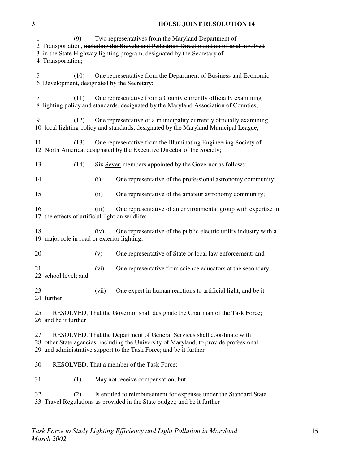#### **3 HOUSE JOINT RESOLUTION 14**

 1 (9) Two representatives from the Maryland Department of 2 Transportation, including the Bicycle and Pedestrian Director and an official involved 3 in the State Highway lighting program, designated by the Secretary of 4 Transportation; 5 (10) One representative from the Department of Business and Economic 6 Development, designated by the Secretary; 7 (11) One representative from a County currently officially examining 8 lighting policy and standards, designated by the Maryland Association of Counties; 9 (12) One representative of a municipality currently officially examining 10 local lighting policy and standards, designated by the Maryland Municipal League; 11 (13) One representative from the Illuminating Engineering Society of 12 North America, designated by the Executive Director of the Society; 13 (14) Six Seven members appointed by the Governor as follows: 14 (i) One representative of the professional astronomy community; 15 (ii) One representative of the amateur astronomy community; 16 (iii) One representative of an environmental group with expertise in 17 the effects of artificial light on wildlife; 18 (iv) One representative of the public electric utility industry with a 19 major role in road or exterior lighting; 20 (v) One representative of State or local law enforcement; and 21 (vi) One representative from science educators at the secondary 22 school level; and 23 (vii) One expert in human reactions to artificial light; and be it 24 further 25 RESOLVED, That the Governor shall designate the Chairman of the Task Force; 26 and be it further 27 RESOLVED, That the Department of General Services shall coordinate with 28 other State agencies, including the University of Maryland, to provide professional 29 and administrative support to the Task Force; and be it further 30 RESOLVED, That a member of the Task Force: 31 (1) May not receive compensation; but 32 (2) Is entitled to reimbursement for expenses under the Standard State 33 Travel Regulations as provided in the State budget; and be it further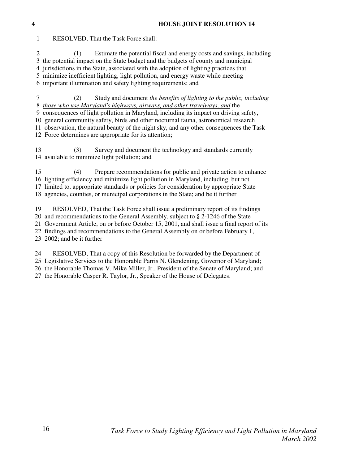# *Task Force to Study Lighting Efficiency and Light Pollution in Maryland March 2002*

1 RESOLVED, That the Task Force shall:

2 (1) Estimate the potential fiscal and energy costs and savings, including

3 the potential impact on the State budget and the budgets of county and municipal

4 jurisdictions in the State, associated with the adoption of lighting practices that

5 minimize inefficient lighting, light pollution, and energy waste while meeting

6 important illumination and safety lighting requirements; and

 7 (2) Study and document *the benefits of lighting to the public, including* 8 *those who use Maryland's highways, airways, and other travelways, and* the

9 consequences of light pollution in Maryland, including its impact on driving safety,

 10 general community safety, birds and other nocturnal fauna, astronomical research 11 observation, the natural beauty of the night sky, and any other consequences the Task

12 Force determines are appropriate for its attention;

 13 (3) Survey and document the technology and standards currently 14 available to minimize light pollution; and

 15 (4) Prepare recommendations for public and private action to enhance 16 lighting efficiency and minimize light pollution in Maryland, including, but not 17 limited to, appropriate standards or policies for consideration by appropriate State 18 agencies, counties, or municipal corporations in the State; and be it further

 19 RESOLVED, That the Task Force shall issue a preliminary report of its findings 20 and recommendations to the General Assembly, subject to § 2-1246 of the State 21 Government Article, on or before October 15, 2001, and shall issue a final report of its 22 findings and recommendations to the General Assembly on or before February 1,

23 2002; and be it further

 24 RESOLVED, That a copy of this Resolution be forwarded by the Department of 25 Legislative Services to the Honorable Parris N. Glendening, Governor of Maryland; 26 the Honorable Thomas V. Mike Miller, Jr., President of the Senate of Maryland; and

27 the Honorable Casper R. Taylor, Jr., Speaker of the House of Delegates.

**4 HOUSE JOINT RESOLUTION 14**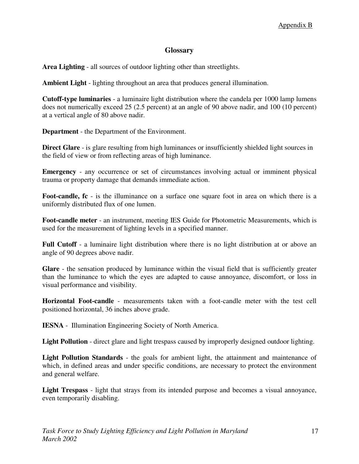# **Glossary**

**Area Lighting** - all sources of outdoor lighting other than streetlights.

**Ambient Light** - lighting throughout an area that produces general illumination.

**Cutoff-type luminaries** - a luminaire light distribution where the candela per 1000 lamp lumens does not numerically exceed 25 (2.5 percent) at an angle of 90 above nadir, and 100 (10 percent) at a vertical angle of 80 above nadir.

**Department** - the Department of the Environment.

**Direct Glare** - is glare resulting from high luminances or insufficiently shielded light sources in the field of view or from reflecting areas of high luminance.

**Emergency** - any occurrence or set of circumstances involving actual or imminent physical trauma or property damage that demands immediate action.

**Foot-candle, fc** - is the illuminance on a surface one square foot in area on which there is a uniformly distributed flux of one lumen.

**Foot-candle meter** - an instrument, meeting IES Guide for Photometric Measurements, which is used for the measurement of lighting levels in a specified manner.

**Full Cutoff** - a luminaire light distribution where there is no light distribution at or above an angle of 90 degrees above nadir.

**Glare** - the sensation produced by luminance within the visual field that is sufficiently greater than the luminance to which the eyes are adapted to cause annoyance, discomfort, or loss in visual performance and visibility.

**Horizontal Foot-candle** - measurements taken with a foot-candle meter with the test cell positioned horizontal, 36 inches above grade.

**IESNA** - Illumination Engineering Society of North America.

**Light Pollution** - direct glare and light trespass caused by improperly designed outdoor lighting.

Light Pollution Standards - the goals for ambient light, the attainment and maintenance of which, in defined areas and under specific conditions, are necessary to protect the environment and general welfare.

**Light Trespass** - light that strays from its intended purpose and becomes a visual annoyance, even temporarily disabling.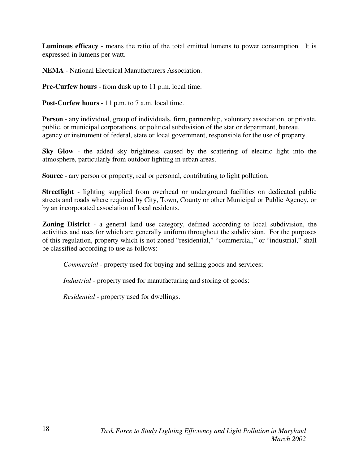**Luminous efficacy** - means the ratio of the total emitted lumens to power consumption. It is expressed in lumens per watt.

**NEMA** - National Electrical Manufacturers Association.

**Pre-Curfew hours** - from dusk up to 11 p.m. local time.

**Post-Curfew hours** - 11 p.m. to 7 a.m. local time.

**Person** - any individual, group of individuals, firm, partnership, voluntary association, or private, public, or municipal corporations, or political subdivision of the star or department, bureau, agency or instrument of federal, state or local government, responsible for the use of property.

**Sky Glow** - the added sky brightness caused by the scattering of electric light into the atmosphere, particularly from outdoor lighting in urban areas.

**Source** - any person or property, real or personal, contributing to light pollution.

**Streetlight** - lighting supplied from overhead or underground facilities on dedicated public streets and roads where required by City, Town, County or other Municipal or Public Agency, or by an incorporated association of local residents.

**Zoning District** - a general land use category, defined according to local subdivision, the activities and uses for which are generally uniform throughout the subdivision. For the purposes of this regulation, property which is not zoned "residential," "commercial," or "industrial," shall be classified according to use as follows:

*Commercial* - property used for buying and selling goods and services;

*Industrial* - property used for manufacturing and storing of goods:

*Residential* - property used for dwellings.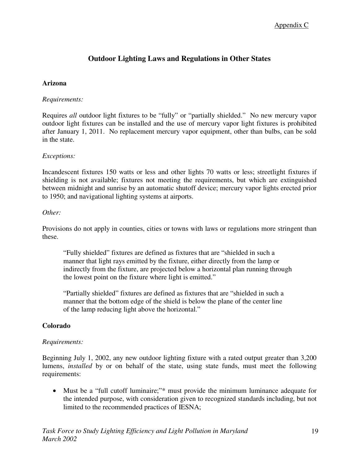# Appendix C

# **Outdoor Lighting Laws and Regulations in Other States**

#### **Arizona**

#### *Requirements:*

Requires *all* outdoor light fixtures to be "fully" or "partially shielded." No new mercury vapor outdoor light fixtures can be installed and the use of mercury vapor light fixtures is prohibited after January 1, 2011. No replacement mercury vapor equipment, other than bulbs, can be sold in the state.

#### *Exceptions:*

Incandescent fixtures 150 watts or less and other lights 70 watts or less; streetlight fixtures if shielding is not available; fixtures not meeting the requirements, but which are extinguished between midnight and sunrise by an automatic shutoff device; mercury vapor lights erected prior to 1950; and navigational lighting systems at airports.

#### *Other:*

Provisions do not apply in counties, cities or towns with laws or regulations more stringent than these.

 "Fully shielded" fixtures are defined as fixtures that are "shielded in such a manner that light rays emitted by the fixture, either directly from the lamp or indirectly from the fixture, are projected below a horizontal plan running through the lowest point on the fixture where light is emitted."

 "Partially shielded" fixtures are defined as fixtures that are "shielded in such a manner that the bottom edge of the shield is below the plane of the center line of the lamp reducing light above the horizontal."

#### **Colorado**

#### *Requirements:*

Beginning July 1, 2002, any new outdoor lighting fixture with a rated output greater than 3,200 lumens, *installed* by or on behalf of the state, using state funds, must meet the following requirements:

• Must be a "full cutoff luminaire;"\* must provide the minimum luminance adequate for the intended purpose, with consideration given to recognized standards including, but not limited to the recommended practices of IESNA;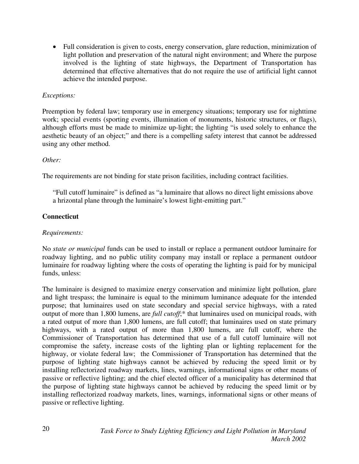• Full consideration is given to costs, energy conservation, glare reduction, minimization of light pollution and preservation of the natural night environment; and Where the purpose involved is the lighting of state highways, the Department of Transportation has determined that effective alternatives that do not require the use of artificial light cannot achieve the intended purpose.

#### *Exceptions:*

Preemption by federal law; temporary use in emergency situations; temporary use for nighttime work; special events (sporting events, illumination of monuments, historic structures, or flags), although efforts must be made to minimize up-light; the lighting "is used solely to enhance the aesthetic beauty of an object;" and there is a compelling safety interest that cannot be addressed using any other method.

#### *Other:*

The requirements are not binding for state prison facilities, including contract facilities.

"Full cutoff luminaire" is defined as "a luminaire that allows no direct light emissions above a hrizontal plane through the luminaire's lowest light-emitting part."

#### **Connecticut**

#### *Requirements:*

No *state or municipal* funds can be used to install or replace a permanent outdoor luminaire for roadway lighting, and no public utility company may install or replace a permanent outdoor luminaire for roadway lighting where the costs of operating the lighting is paid for by municipal funds, unless:

The luminaire is designed to maximize energy conservation and minimize light pollution, glare and light trespass; the luminaire is equal to the minimum luminance adequate for the intended purpose; that luminaires used on state secondary and special service highways, with a rated output of more than 1,800 lumens, are *full cutoff*;\* that luminaires used on municipal roads, with a rated output of more than 1,800 lumens, are full cutoff; that luminaires used on state primary highways, with a rated output of more than 1,800 lumens, are full cutoff, where the Commissioner of Transportation has determined that use of a full cutoff luminaire will not compromise the safety, increase costs of the lighting plan or lighting replacement for the highway, or violate federal law; the Commissioner of Transportation has determined that the purpose of lighting state highways cannot be achieved by reducing the speed limit or by installing reflectorized roadway markets, lines, warnings, informational signs or other means of passive or reflective lighting; and the chief elected officer of a municipality has determined that the purpose of lighting state highways cannot be achieved by reducing the speed limit or by installing reflectorized roadway markets, lines, warnings, informational signs or other means of passive or reflective lighting.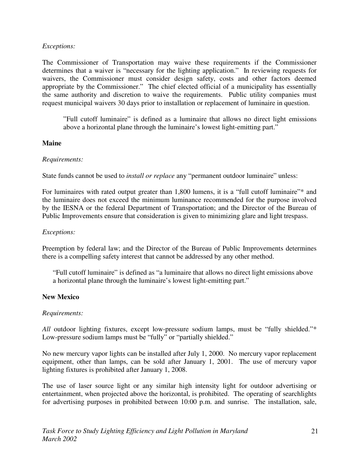#### *Exceptions:*

The Commissioner of Transportation may waive these requirements if the Commissioner determines that a waiver is "necessary for the lighting application." In reviewing requests for waivers, the Commissioner must consider design safety, costs and other factors deemed appropriate by the Commissioner." The chief elected official of a municipality has essentially the same authority and discretion to waive the requirements. Public utility companies must request municipal waivers 30 days prior to installation or replacement of luminaire in question.

"Full cutoff luminaire" is defined as a luminaire that allows no direct light emissions above a horizontal plane through the luminaire's lowest light-emitting part."

#### **Maine**

#### *Requirements:*

State funds cannot be used to *install or replace* any "permanent outdoor luminaire" unless:

For luminaires with rated output greater than 1,800 lumens, it is a "full cutoff luminaire"\* and the luminaire does not exceed the minimum luminance recommended for the purpose involved by the IESNA or the federal Department of Transportation; and the Director of the Bureau of Public Improvements ensure that consideration is given to minimizing glare and light trespass.

#### *Exceptions:*

Preemption by federal law; and the Director of the Bureau of Public Improvements determines there is a compelling safety interest that cannot be addressed by any other method.

"Full cutoff luminaire" is defined as "a luminaire that allows no direct light emissions above a horizontal plane through the luminaire's lowest light-emitting part."

#### **New Mexico**

#### *Requirements:*

*All* outdoor lighting fixtures, except low-pressure sodium lamps, must be "fully shielded."\* Low-pressure sodium lamps must be "fully" or "partially shielded."

No new mercury vapor lights can be installed after July 1, 2000. No mercury vapor replacement equipment, other than lamps, can be sold after January 1, 2001. The use of mercury vapor lighting fixtures is prohibited after January 1, 2008.

The use of laser source light or any similar high intensity light for outdoor advertising or entertainment, when projected above the horizontal, is prohibited. The operating of searchlights for advertising purposes in prohibited between 10:00 p.m. and sunrise. The installation, sale,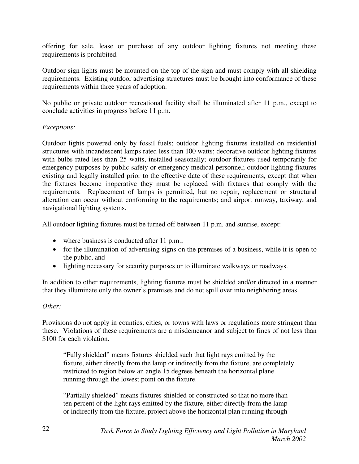offering for sale, lease or purchase of any outdoor lighting fixtures not meeting these requirements is prohibited.

Outdoor sign lights must be mounted on the top of the sign and must comply with all shielding requirements. Existing outdoor advertising structures must be brought into conformance of these requirements within three years of adoption.

No public or private outdoor recreational facility shall be illuminated after 11 p.m., except to conclude activities in progress before 11 p.m.

#### *Exceptions:*

Outdoor lights powered only by fossil fuels; outdoor lighting fixtures installed on residential structures with incandescent lamps rated less than 100 watts; decorative outdoor lighting fixtures with bulbs rated less than 25 watts, installed seasonally; outdoor fixtures used temporarily for emergency purposes by public safety or emergency medical personnel; outdoor lighting fixtures existing and legally installed prior to the effective date of these requirements, except that when the fixtures become inoperative they must be replaced with fixtures that comply with the requirements. Replacement of lamps is permitted, but no repair, replacement or structural alteration can occur without conforming to the requirements; and airport runway, taxiway, and navigational lighting systems.

All outdoor lighting fixtures must be turned off between 11 p.m. and sunrise, except:

- where business is conducted after 11 p.m.;
- for the illumination of advertising signs on the premises of a business, while it is open to the public, and
- lighting necessary for security purposes or to illuminate walkways or roadways.

In addition to other requirements, lighting fixtures must be shielded and/or directed in a manner that they illuminate only the owner's premises and do not spill over into neighboring areas.

#### *Other:*

Provisions do not apply in counties, cities, or towns with laws or regulations more stringent than these. Violations of these requirements are a misdemeanor and subject to fines of not less than \$100 for each violation.

 "Fully shielded" means fixtures shielded such that light rays emitted by the fixture, either directly from the lamp or indirectly from the fixture, are completely restricted to region below an angle 15 degrees beneath the horizontal plane running through the lowest point on the fixture.

"Partially shielded" means fixtures shielded or constructed so that no more than ten percent of the light rays emitted by the fixture, either directly from the lamp or indirectly from the fixture, project above the horizontal plan running through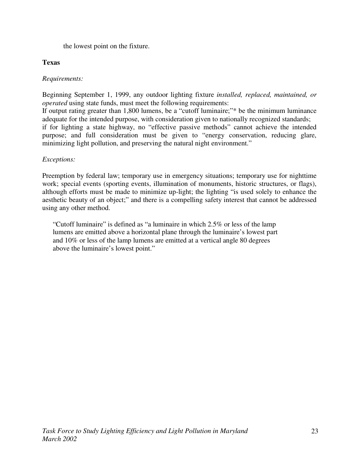the lowest point on the fixture.

# **Texas**

# *Requirements:*

Beginning September 1, 1999, any outdoor lighting fixture *installed, replaced, maintained, or operated* using state funds, must meet the following requirements:

If output rating greater than 1,800 lumens, be a "cutoff luminaire;"\* be the minimum luminance adequate for the intended purpose, with consideration given to nationally recognized standards; if for lighting a state highway, no "effective passive methods" cannot achieve the intended purpose; and full consideration must be given to "energy conservation, reducing glare, minimizing light pollution, and preserving the natural night environment."

# *Exceptions:*

Preemption by federal law; temporary use in emergency situations; temporary use for nighttime work; special events (sporting events, illumination of monuments, historic structures, or flags), although efforts must be made to minimize up-light; the lighting "is used solely to enhance the aesthetic beauty of an object;" and there is a compelling safety interest that cannot be addressed using any other method.

"Cutoff luminaire" is defined as "a luminaire in which 2.5% or less of the lamp lumens are emitted above a horizontal plane through the luminaire's lowest part and 10% or less of the lamp lumens are emitted at a vertical angle 80 degrees above the luminaire's lowest point."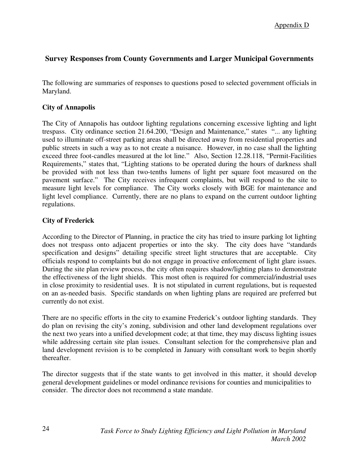# **Survey Responses from County Governments and Larger Municipal Governments**

The following are summaries of responses to questions posed to selected government officials in Maryland.

#### **City of Annapolis**

The City of Annapolis has outdoor lighting regulations concerning excessive lighting and light trespass. City ordinance section 21.64.200, "Design and Maintenance," states "... any lighting used to illuminate off-street parking areas shall be directed away from residential properties and public streets in such a way as to not create a nuisance. However, in no case shall the lighting exceed three foot-candles measured at the lot line." Also, Section 12.28.118, "Permit-Facilities Requirements," states that, "Lighting stations to be operated during the hours of darkness shall be provided with not less than two-tenths lumens of light per square foot measured on the pavement surface." The City receives infrequent complaints, but will respond to the site to measure light levels for compliance. The City works closely with BGE for maintenance and light level compliance. Currently, there are no plans to expand on the current outdoor lighting regulations.

#### **City of Frederick**

According to the Director of Planning, in practice the city has tried to insure parking lot lighting does not trespass onto adjacent properties or into the sky. The city does have "standards specification and designs" detailing specific street light structures that are acceptable. City officials respond to complaints but do not engage in proactive enforcement of light glare issues. During the site plan review process, the city often requires shadow/lighting plans to demonstrate the effectiveness of the light shields. This most often is required for commercial/industrial uses in close proximity to residential uses. It is not stipulated in current regulations, but is requested on an as-needed basis. Specific standards on when lighting plans are required are preferred but currently do not exist.

There are no specific efforts in the city to examine Frederick's outdoor lighting standards. They do plan on revising the city's zoning, subdivision and other land development regulations over the next two years into a unified development code; at that time, they may discuss lighting issues while addressing certain site plan issues. Consultant selection for the comprehensive plan and land development revision is to be completed in January with consultant work to begin shortly thereafter.

The director suggests that if the state wants to get involved in this matter, it should develop general development guidelines or model ordinance revisions for counties and municipalities to consider. The director does not recommend a state mandate.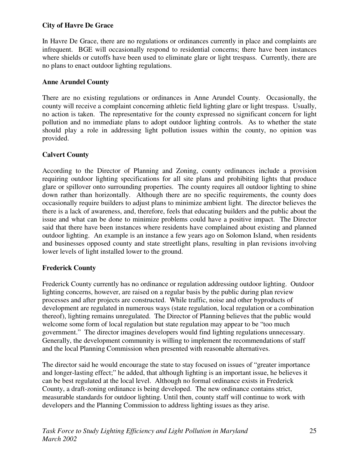# **City of Havre De Grace**

In Havre De Grace, there are no regulations or ordinances currently in place and complaints are infrequent. BGE will occasionally respond to residential concerns; there have been instances where shields or cutoffs have been used to eliminate glare or light trespass. Currently, there are no plans to enact outdoor lighting regulations.

# **Anne Arundel County**

There are no existing regulations or ordinances in Anne Arundel County. Occasionally, the county will receive a complaint concerning athletic field lighting glare or light trespass. Usually, no action is taken. The representative for the county expressed no significant concern for light pollution and no immediate plans to adopt outdoor lighting controls. As to whether the state should play a role in addressing light pollution issues within the county, no opinion was provided.

# **Calvert County**

According to the Director of Planning and Zoning, county ordinances include a provision requiring outdoor lighting specifications for all site plans and prohibiting lights that produce glare or spillover onto surrounding properties. The county requires all outdoor lighting to shine down rather than horizontally. Although there are no specific requirements, the county does occasionally require builders to adjust plans to minimize ambient light. The director believes the there is a lack of awareness, and, therefore, feels that educating builders and the public about the issue and what can be done to minimize problems could have a positive impact. The Director said that there have been instances where residents have complained about existing and planned outdoor lighting. An example is an instance a few years ago on Solomon Island, when residents and businesses opposed county and state streetlight plans, resulting in plan revisions involving lower levels of light installed lower to the ground.

# **Frederick County**

Frederick County currently has no ordinance or regulation addressing outdoor lighting. Outdoor lighting concerns, however, are raised on a regular basis by the public during plan review processes and after projects are constructed. While traffic, noise and other byproducts of development are regulated in numerous ways (state regulation, local regulation or a combination thereof), lighting remains unregulated. The Director of Planning believes that the public would welcome some form of local regulation but state regulation may appear to be "too much government." The director imagines developers would find lighting regulations unnecessary. Generally, the development community is willing to implement the recommendations of staff and the local Planning Commission when presented with reasonable alternatives.

The director said he would encourage the state to stay focused on issues of "greater importance and longer-lasting effect;" he added, that although lighting is an important issue, he believes it can be best regulated at the local level. Although no formal ordinance exists in Frederick County, a draft-zoning ordinance is being developed. The new ordinance contains strict, measurable standards for outdoor lighting. Until then, county staff will continue to work with developers and the Planning Commission to address lighting issues as they arise.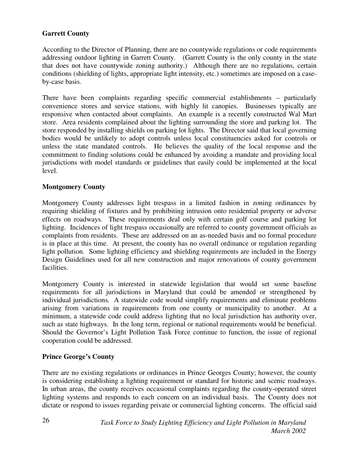# **Garrett County**

According to the Director of Planning, there are no countywide regulations or code requirements addressing outdoor lighting in Garrett County. (Garrett County is the only county in the state that does not have countywide zoning authority.) Although there are no regulations, certain conditions (shielding of lights, appropriate light intensity, etc.) sometimes are imposed on a caseby-case basis.

There have been complaints regarding specific commercial establishments – particularly convenience stores and service stations, with highly lit canopies. Businesses typically are responsive when contacted about complaints. An example is a recently constructed Wal Mart store. Area residents complained about the lighting surrounding the store and parking lot. The store responded by installing shields on parking lot lights. The Director said that local governing bodies would be unlikely to adopt controls unless local constituencies asked for controls or unless the state mandated controls. He believes the quality of the local response and the commitment to finding solutions could be enhanced by avoiding a mandate and providing local jurisdictions with model standards or guidelines that easily could be implemented at the local level.

### **Montgomery County**

Montgomery County addresses light trespass in a limited fashion in zoning ordinances by requiring shielding of fixtures and by prohibiting intrusion onto residential property or adverse effects on roadways. These requirements deal only with certain golf course and parking lot lighting. Incidences of light trespass occasionally are referred to county government officials as complaints from residents. These are addressed on an as-needed basis and no formal procedure is in place at this time. At present, the county has no overall ordinance or regulation regarding light pollution. Some lighting efficiency and shielding requirements are included in the Energy Design Guidelines used for all new construction and major renovations of county government facilities.

Montgomery County is interested in statewide legislation that would set some baseline requirements for all jurisdictions in Maryland that could be amended or strengthened by individual jurisdictions. A statewide code would simplify requirements and eliminate problems arising from variations in requirements from one county or municipality to another. At a minimum, a statewide code could address lighting that no local jurisdiction has authority over, such as state highways. In the long term, regional or national requirements would be beneficial. Should the Governor's Light Pollution Task Force continue to function, the issue of regional cooperation could be addressed.

### **Prince George's County**

There are no existing regulations or ordinances in Prince Georges County; however, the county is considering establishing a lighting requirement or standard for historic and scenic roadways. In urban areas, the county receives occasional complaints regarding the county-operated street lighting systems and responds to each concern on an individual basis. The County does not dictate or respond to issues regarding private or commercial lighting concerns. The official said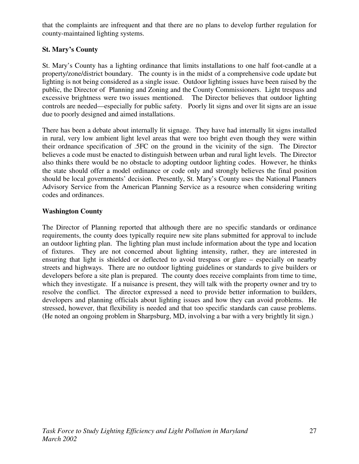that the complaints are infrequent and that there are no plans to develop further regulation for county-maintained lighting systems.

# **St. Mary's County**

St. Mary's County has a lighting ordinance that limits installations to one half foot-candle at a property/zone/district boundary. The county is in the midst of a comprehensive code update but lighting is not being considered as a single issue. Outdoor lighting issues have been raised by the public, the Director of Planning and Zoning and the County Commissioners. Light trespass and excessive brightness were two issues mentioned. The Director believes that outdoor lighting controls are needed—especially for public safety. Poorly lit signs and over lit signs are an issue due to poorly designed and aimed installations.

There has been a debate about internally lit signage. They have had internally lit signs installed in rural, very low ambient light level areas that were too bright even though they were within their ordnance specification of .5FC on the ground in the vicinity of the sign. The Director believes a code must be enacted to distinguish between urban and rural light levels. The Director also thinks there would be no obstacle to adopting outdoor lighting codes. However, he thinks the state should offer a model ordinance or code only and strongly believes the final position should be local governments' decision. Presently, St. Mary's County uses the National Planners Advisory Service from the American Planning Service as a resource when considering writing codes and ordinances.

### **Washington County**

The Director of Planning reported that although there are no specific standards or ordinance requirements, the county does typically require new site plans submitted for approval to include an outdoor lighting plan. The lighting plan must include information about the type and location of fixtures. They are not concerned about lighting intensity, rather, they are interested in ensuring that light is shielded or deflected to avoid trespass or glare – especially on nearby streets and highways. There are no outdoor lighting guidelines or standards to give builders or developers before a site plan is prepared. The county does receive complaints from time to time, which they investigate. If a nuisance is present, they will talk with the property owner and try to resolve the conflict. The director expressed a need to provide better information to builders, developers and planning officials about lighting issues and how they can avoid problems. He stressed, however, that flexibility is needed and that too specific standards can cause problems. (He noted an ongoing problem in Sharpsburg, MD, involving a bar with a very brightly lit sign.)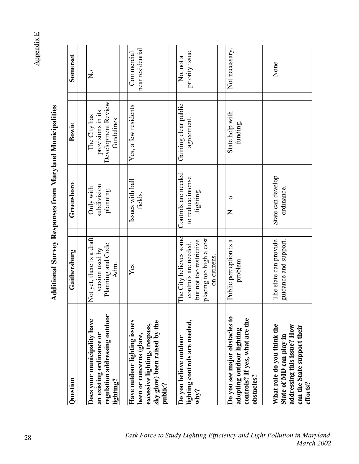**Appendix E** Appendix E

> Additional Survey Responses from Maryland Municipalities **Additional Survey Responses from Maryland Municipalities**

| Question                                                                                              | Gaithersburg                                                                                             | Greensboro                               | Bowie                                                                  | Somerset                        |
|-------------------------------------------------------------------------------------------------------|----------------------------------------------------------------------------------------------------------|------------------------------------------|------------------------------------------------------------------------|---------------------------------|
| regulation addressing outdoor<br>Does your municipality have<br>an existing ordinance or<br>lighting? | Not yet, there is a draft<br>Planning and Code<br>version used by<br>Adm.                                | subdivision<br>Only with<br>planning.    | Development Review<br>provisions in its<br>The City has<br>Guidelines. | $\mathsf{S}^{\mathsf{O}}$       |
| Have outdoor lighting issues<br>excessive lighting, trespass,<br>been or concerns (glare,             | Yes                                                                                                      | Issues with ball<br>fields.              | Yes, a few residents.                                                  | near residential.<br>Commercial |
| lighting controls are needed,<br>sky glow) been raised by the<br>Do you believe outdoor<br>public?    | The City believes some<br>controls are needed,                                                           | Controls are needed<br>to reduce intense | Gaining clear public<br>agreement.                                     | priority issue.<br>No, not a    |
| Do you see major obstacles to<br>adopting outdoor lighting<br>why?                                    | placing too high a cost<br>Public perception is a<br>but not too restrictive<br>on citizens.<br>problem. | lighting.<br>O<br>Z                      | State help with<br>funding.                                            | Not necessary.                  |
| controls? If yes, what are the<br>What role do you think the<br>obstacles?                            | The state can provide                                                                                    | State can develop                        |                                                                        | None.                           |
| addressing this issue? How<br>can the State support their<br>State of MD can play in<br>efforts?      | guidance and support.                                                                                    | ordinance.                               |                                                                        |                                 |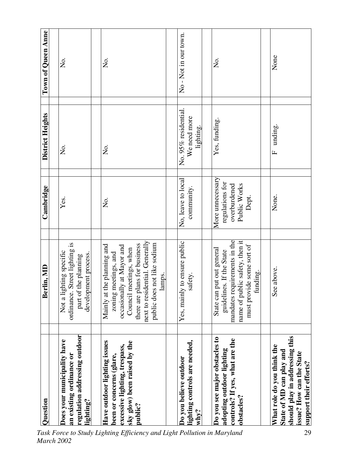| Question                                                                                                                                       | Berlin, MD                                                                                                                                                                                                                  | Cambridge                                                                    | District Heights                                  | Town of Queen Anne  |
|------------------------------------------------------------------------------------------------------------------------------------------------|-----------------------------------------------------------------------------------------------------------------------------------------------------------------------------------------------------------------------------|------------------------------------------------------------------------------|---------------------------------------------------|---------------------|
|                                                                                                                                                |                                                                                                                                                                                                                             |                                                                              |                                                   |                     |
| regulation addressing outdoor<br>Does your municipality have<br>an existing ordinance or<br>$\mathop{\mathrm{lightting}}\nolimits?$            | Street lighting is<br>Not a lighting specific<br>development process.<br>part of the planning<br>ordinance.                                                                                                                 | Yes.                                                                         | Σó                                                | Σ.                  |
| Have outdoor lighting issues<br>sky glow) been raised by the<br>excessive lighting, trespass,<br>been or concerns (glare,<br>public?           | next to residential. Generally<br>s not like sodium<br>there are plans for business<br>Mainly at the planning and<br>occasionally at Mayor and<br>Council meetings, when<br>meetings, and<br>lamps.<br>zoning<br>public doe | Σ.                                                                           | ,<br>Ž                                            | Σ.                  |
|                                                                                                                                                |                                                                                                                                                                                                                             |                                                                              |                                                   |                     |
| lighting controls are needed,<br>Do you believe outdoor<br>$\sinh^3$                                                                           | Yes, mainly to ensure public<br>safety.                                                                                                                                                                                     | No, leave to local<br>community.                                             | No. 95% residential.<br>We need more<br>lighting. | No-Not in our town. |
|                                                                                                                                                |                                                                                                                                                                                                                             |                                                                              |                                                   |                     |
| Do you see major obstacles to<br>controls? If yes, what are the<br>adopting outdoor lighting<br>obstacles?                                     | mandates requirements in the<br>name of public safety, then it<br>must provide some sort of<br>State can put out general<br>guidelines. If the State<br>funding.                                                            | More unnecessary<br>regulations for<br>overburdened<br>Public Works<br>Dept. | Yes, funding.                                     | ,<br>Ž              |
|                                                                                                                                                |                                                                                                                                                                                                                             |                                                                              |                                                   |                     |
| should play in addressing this<br>What role do you think the<br>State of MD can play and<br>issue? How can the State<br>support their efforts? | See above.                                                                                                                                                                                                                  | None.                                                                        | unding.<br>$\mathbf{r}$                           | None                |

 *Task Force to Study Lighting Efficiency and Light Pollution in Maryland March 2002*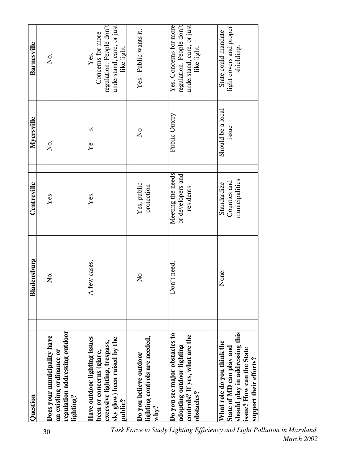| Question                                                                                                                                       | Bladensburg             | Centreville                                         | Myersville                 | Barnesville                                                                                       |
|------------------------------------------------------------------------------------------------------------------------------------------------|-------------------------|-----------------------------------------------------|----------------------------|---------------------------------------------------------------------------------------------------|
| regulation addressing outdoor<br>Does your municipality have<br>an existing ordinance or<br>lighting?                                          | Σó.                     | Yes.                                                | Σ.                         | Σ.                                                                                                |
| Have outdoor lighting issues<br>sky glow) been raised by the<br>excessive lighting, trespass,<br>been or concerns (glare,<br>public?           | A few cases.            | Yes.                                                | S<br>Ýe                    | regulation. People don't<br>understand, care, or just<br>Concerns for more<br>like light.<br>Yes. |
| lighting controls are needed,<br>Do you believe outdoor<br>$w$ hy?                                                                             | $\overline{\mathsf{X}}$ | Yes, public<br>protection                           | $\mathsf{S}^{\mathsf{O}}$  | Yes. Public wants it.                                                                             |
| Do you see major obstacles to<br>controls? If yes, what are the<br>adopting outdoor lighting<br>obstacles?                                     | Don't need.             | Meeting the needs<br>of developers and<br>residents | Public Outcry              | Yes. Concerns for more<br>regulation. People don't<br>understand, care, or just<br>like light.    |
| should play in addressing this<br>What role do you think the<br>State of MD can play and<br>issue? How can the State<br>support their efforts? | None.                   | municipalities<br>Counties and<br>Standardize       | Should be a local<br>issue | light covers and proper<br>State could mandate<br>shielding.                                      |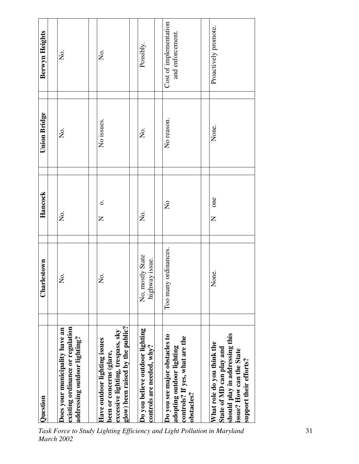| Question                                                                                                                                       | Charlestown                        | Hancock                   | <b>Union Bridge</b> | Berwyn Heights                             |
|------------------------------------------------------------------------------------------------------------------------------------------------|------------------------------------|---------------------------|---------------------|--------------------------------------------|
| existing ordinance or regulation<br>Does your municipality have an<br>addressing outdoor lighting?                                             | ,<br>Ž                             | Σ.                        | Σ.                  | Σó,                                        |
| glow) been raised by the public?<br>excessive lighting, trespass, sky<br>Have outdoor lighting issues<br>been or concerns (glare,              | Σò.                                | $\dot{\circ}$<br>Z        | No issues.          | $\frac{1}{2}$                              |
| Do you believe outdoor lighting<br>controls are needed, why?                                                                                   | No, mostly State<br>highway issue. | S.<br>Z                   | Σ.                  | Possibly.                                  |
| Do you see major obstacles to<br>controls? If yes, what are the<br>adopting outdoor lighting<br>obstacles?                                     | Too many ordinances.               | $\mathsf{S}^{\mathsf{O}}$ | No reason.          | Cost of implementation<br>and enforcement. |
| should play in addressing this<br>What role do you think the<br>State of MD can play and<br>issue? How can the State<br>support their efforts? | None.                              | one<br>Z                  | None.               | Proactively promote.                       |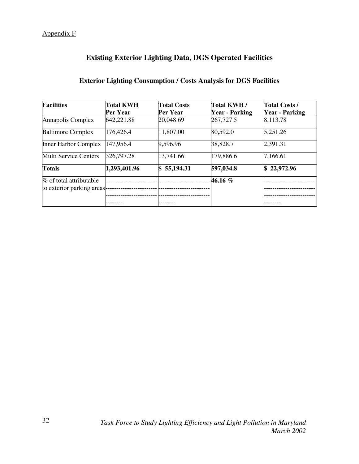# **Existing Exterior Lighting Data, DGS Operated Facilities**

# **Exterior Lighting Consumption / Costs Analysis for DGS Facilities**

| <b>Facilities</b>            | <b>Total KWH</b> | <b>Total Costs</b> | Total KWH/            | <b>Total Costs /</b>  |
|------------------------------|------------------|--------------------|-----------------------|-----------------------|
|                              | Per Year         | Per Year           | <b>Year - Parking</b> | <b>Year - Parking</b> |
| Annapolis Complex            | 642,221.88       | 20,048.69          | 267,727.5             | 8,113.78              |
| <b>Baltimore Complex</b>     | 176,426.4        | 11,807.00          | 80,592.0              | 5,251.26              |
| <b>Inner Harbor Complex</b>  | 147,956.4        | 9,596.96           | 38,828.7              | 2,391.31              |
| <b>Multi Service Centers</b> | 326,797.28       | 13,741.66          | 179,886.6             | 7,166.61              |
| <b>Totals</b>                | 1,293,401.96     | 55,194.31<br>S.    | 597,034.8             | \$22,972.96           |
| % of total attributable      |                  |                    | 46.16 %               |                       |
| to exterior parking areas    |                  |                    |                       |                       |
|                              |                  |                    |                       |                       |
|                              |                  |                    |                       |                       |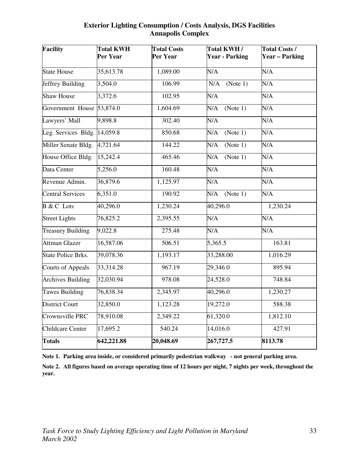#### **Exterior Lighting Consumption / Costs Analysis, DGS Facilities Annapolis Complex**

| Facility                               | <b>Total KWH</b><br>Per Year | <b>Total Costs</b><br>Per Year | Total KWH/<br><b>Year - Parking</b> | <b>Total Costs /</b><br><b>Year – Parking</b> |
|----------------------------------------|------------------------------|--------------------------------|-------------------------------------|-----------------------------------------------|
| <b>State House</b>                     | 35,613.78                    | 1,089.00                       | $\overline{\text{N}}/\text{A}$      | N/A                                           |
| Jeffrey Building                       | 3,504.0                      | 106.99                         | (Note 1)<br>N/A                     | N/A                                           |
| <b>Shaw House</b>                      | 3,372.6                      | 102.95                         | N/A                                 | N/A                                           |
| Government House 53,874.0              |                              | 1,604.69                       | N/A<br>(Note 1)                     | $\overline{\text{N/A}}$                       |
| Lawyers' Mall                          | 9,898.8                      | 302.40                         | N/A                                 | N/A                                           |
| Leg. Services Bldg. $ 14,059.8\rangle$ |                              | 850.68                         | N/A<br>(Note 1)                     | N/A                                           |
| Miller Senate Bldg.                    | 4,721.64                     | 144.22                         | (Note 1)<br>N/A                     | N/A                                           |
| House Office Bldg.                     | 15,242.4                     | 465.46                         | N/A<br>(Note 1)                     | N/A                                           |
| Data Center                            | 5,256.0                      | 160.48                         | N/A                                 | N/A                                           |
| Revenue Admin.                         | 36,879.6                     | 1,125.97                       | N/A                                 | N/A                                           |
| <b>Central Services</b>                | 6,351.0                      | 190.92                         | (Note 1)<br>N/A                     | N/A                                           |
| <b>B</b> & C Lots                      | 40,296.0                     | 1,230.24                       | 40,296.0                            | 1,230.24                                      |
| <b>Street Lights</b>                   | 76,825.2                     | 2,395.55                       | N/A                                 | N/A                                           |
| <b>Treasury Building</b>               | 9,022.8                      | 275.48                         | N/A                                 | N/A                                           |
| <b>Attman Glazer</b>                   | 16,587.06                    | 506.51                         | 5,365.5                             | 163.81                                        |
| <b>State Police Brks.</b>              | 39,078.36                    | 1,193.17                       | 33,288.00                           | 1,016.29                                      |
| <b>Courts of Appeals</b>               | 33,314.28                    | 967.19                         | 29,346.0                            | 895.94                                        |
| <b>Archives Building</b>               | 32,030.94                    | 978.08                         | 24,528.0                            | 748.84                                        |
| Tawes Building                         | 76,838.34                    | 2,345.97                       | 40,296.0                            | 1,230.27                                      |
| <b>District Court</b>                  | 32,850.0                     | 1,123.28                       | 19,272.0                            | 588.38                                        |
| Crownsville PRC                        | 78,910.08                    | 2,349.22                       | 61,320.0                            | 1,812.10                                      |
| <b>Childcare Center</b>                | 17,695.2                     | 540.24                         | 14,016.0                            | 427.91                                        |
| <b>Totals</b>                          | 642,221.88                   | 20,048.69                      | 267,727.5                           | 8113.78                                       |

**Note 1. Parking area inside, or considered primarily pedestrian walkway - not general parking area.** 

**Note 2. All figures based on average operating time of 12 hours per night, 7 nights per week, throughout the year.**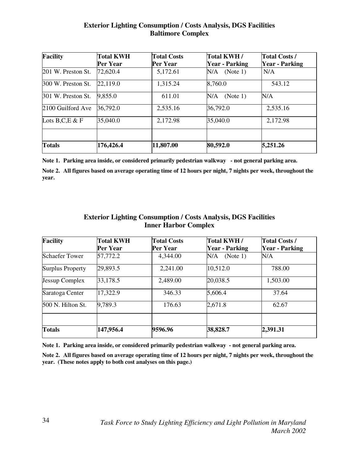#### **Exterior Lighting Consumption / Costs Analysis, DGS Facilities Baltimore Complex**

| <b>Facility</b>     | <b>Total KWH</b><br>Per Year | <b>Total Costs</b><br>Per Year | Total KWH/<br><b>Year - Parking</b> | <b>Total Costs /</b><br><b>Year - Parking</b> |
|---------------------|------------------------------|--------------------------------|-------------------------------------|-----------------------------------------------|
| 201 W. Preston St.  | 72,620.4                     | 5,172.61                       | (Note 1)<br>N/A                     | N/A                                           |
| 300 W. Preston St.  | 22,119.0                     | 1,315.24                       | 8,760.0                             | 543.12                                        |
| 301 W. Preston St.  | 9,855.0                      | 611.01                         | N/A<br>(Note 1)                     | N/A                                           |
| 2100 Guilford Ave   | 36,792.0                     | 2,535.16                       | 36,792.0                            | 2,535.16                                      |
| Lots $B, C, E \& F$ | 35,040.0                     | 2,172.98                       | 35,040.0                            | 2,172.98                                      |
|                     |                              |                                |                                     |                                               |
| <b>Totals</b>       | 176,426.4                    | 11,807.00                      | 80,592.0                            | 5,251.26                                      |

**Note 1. Parking area inside, or considered primarily pedestrian walkway - not general parking area.** 

**Note 2. All figures based on average operating time of 12 hours per night, 7 nights per week, throughout the year.** 

#### **Exterior Lighting Consumption / Costs Analysis, DGS Facilities Inner Harbor Complex**

| <b>Facility</b>       | <b>Total KWH</b><br>Per Year | <b>Total Costs</b><br><b>Per Year</b> | Total KWH/<br><b>Year - Parking</b> | <b>Total Costs /</b><br><b>Year - Parking</b> |
|-----------------------|------------------------------|---------------------------------------|-------------------------------------|-----------------------------------------------|
| <b>Schaefer Tower</b> | 57,772.2                     | 4,344.00                              | (Note 1)<br>N/A                     | N/A                                           |
| Surplus Property      | 29,893.5                     | 2,241.00                              | 10,512.0                            | 788.00                                        |
| Jessup Complex        | 33,178.5                     | 2,489.00                              | 20,038.5                            | 1,503.00                                      |
| Saratoga Center       | 17,322.9                     | 346.33                                | 5,606.4                             | 37.64                                         |
| 500 N. Hilton St.     | 9,789.3                      | 176.63                                | 2,671.8                             | 62.67                                         |
|                       |                              |                                       |                                     |                                               |
| <b>Totals</b>         | 147,956.4                    | 9596.96                               | 38,828.7                            | 2,391.31                                      |

**Note 1. Parking area inside, or considered primarily pedestrian walkway - not general parking area.** 

**Note 2. All figures based on average operating time of 12 hours per night, 7 nights per week, throughout the year. (These notes apply to both cost analyses on this page.)**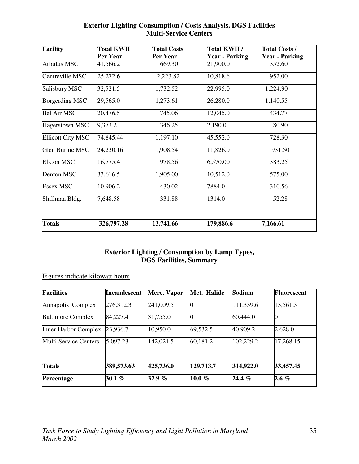| <b>Facility</b>          | <b>Total KWH</b> | <b>Total Costs</b> | Total KWH/            | <b>Total Costs /</b>  |  |
|--------------------------|------------------|--------------------|-----------------------|-----------------------|--|
|                          | Per Year         | Per Year           | <b>Year - Parking</b> | <b>Year - Parking</b> |  |
| <b>Arbutus MSC</b>       | 41,566.2         | 669.30             | 21,900.0              | 352.60                |  |
| Centreville MSC          | 25,272.6         | 2,223.82           | 10,818.6              | 952.00                |  |
| Salisbury MSC            | 32,521.5         | 1,732.52           | 22,995.0              | 1,224.90              |  |
| <b>Borgerding MSC</b>    | 29,565.0         | 1,273.61           | 26,280.0              | 1,140.55              |  |
| <b>Bel Air MSC</b>       | 20,476.5         | 745.06             | 12,045.0              | 434.77                |  |
| Hagerstown MSC           | 9,373.2          | 346.25             | 2,190.0               | 80.90                 |  |
| <b>Ellicott City MSC</b> | 74,845.44        | 1,197.10           | 45,552.0              | 728.30                |  |
| Glen Burnie MSC          | 24,230.16        | 1,908.54           | 11,826.0              | 931.50                |  |
| <b>Elkton MSC</b>        | 16,775.4         | 978.56             | 6,570.00              | 383.25                |  |
| Denton MSC               | 33,616.5         | 1,905.00           | 10,512.0              | 575.00                |  |
| <b>Essex MSC</b>         | 10,906.2         | 430.02             | 7884.0                | 310.56                |  |
| Shillman Bldg.           | 7,648.58         | 331.88             | 1314.0                | 52.28                 |  |
|                          |                  |                    |                       |                       |  |
| <b>Totals</b>            | 326,797.28       | 13,741.66          | 179,886.6             | 7,166.61              |  |

# **Exterior Lighting Consumption / Costs Analysis, DGS Facilities Multi-Service Centers**

# **Exterior Lighting / Consumption by Lamp Types, DGS Facilities, Summary**

# Figures indicate kilowatt hours

| <b>Facilities</b>            | <b>Incandescent</b> | Merc. Vapor | Met. Halide | Sodium    | <b>Fluorescent</b> |
|------------------------------|---------------------|-------------|-------------|-----------|--------------------|
| Annapolis Complex            | 276,312.3           | 241,009.5   |             | 111,339.6 | 13,561.3           |
| <b>Baltimore Complex</b>     | 84,227.4            | 31,755.0    |             | 60,444.0  |                    |
| <b>Inner Harbor Complex</b>  | 23,936.7            | 10,950.0    | 69,532.5    | 40,909.2  | 2,628.0            |
| <b>Multi Service Centers</b> | 5,097.23            | 142,021.5   | 60,181.2    | 102,229.2 | 17,268.15          |
|                              |                     |             |             |           |                    |
| <b>Totals</b>                | 389,573.63          | 425,736.0   | 129,713.7   | 314,922.0 | 33,457.45          |
| Percentage                   | 30.1 $%$            | 32.9 $%$    | 10.0 $%$    | 24.4 %    | $2.6\%$            |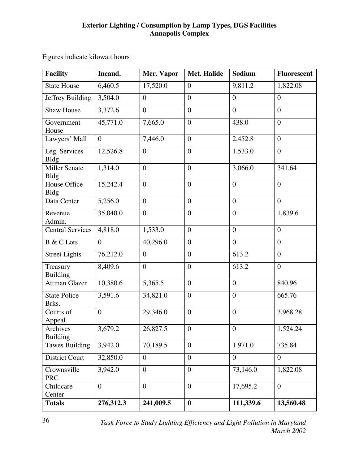## **Exterior Lighting / Consumption by Lamp Types, DGS Facilities Annapolis Complex**

|  | Figures indicate kilowatt hours |  |
|--|---------------------------------|--|
|  |                                 |  |

| <b>Facility</b>                    | Incand.        | Mer. Vapor     | <b>Met. Halide</b> | <b>Sodium</b>    | <b>Fluorescent</b> |
|------------------------------------|----------------|----------------|--------------------|------------------|--------------------|
| <b>State House</b>                 | 6,460.5        | 17,520.0       | $\overline{0}$     | 9,811.2          | 1,822.08           |
| Jeffrey Building                   | 3,504.0        | $\overline{0}$ | $\overline{0}$     | $\overline{0}$   | $\overline{0}$     |
| <b>Shaw House</b>                  | 3,372.6        | $\overline{0}$ | $\overline{0}$     | $\overline{0}$   | $\overline{0}$     |
| Government<br>House                | 45,771.0       | 7,665.0        | $\overline{0}$     | 438.0            | $\overline{0}$     |
| Lawyers' Mall                      | $\overline{0}$ | 7,446.0        | $\overline{0}$     | 2,452.8          | $\overline{0}$     |
| Leg. Services<br><b>Bldg</b>       | 12,526.8       | $\overline{0}$ | $\overline{0}$     | 1,533.0          | $\overline{0}$     |
| <b>Miller Senate</b><br>Bldg       | 1,314.0        | $\overline{0}$ | $\overline{0}$     | 3,066.0          | 341.64             |
| <b>House Office</b><br><b>Bldg</b> | 15,242.4       | $\overline{0}$ | $\overline{0}$     | $\overline{0}$   | $\overline{0}$     |
| Data Center                        | 5,256.0        | $\overline{0}$ | $\overline{0}$     | $\overline{0}$   | $\overline{0}$     |
| Revenue<br>Admin.                  | 35,040.0       | $\overline{0}$ | $\boldsymbol{0}$   | $\overline{0}$   | 1,839.6            |
| <b>Central Services</b>            | 4,818.0        | 1,533.0        | $\overline{0}$     | $\overline{0}$   | $\overline{0}$     |
| <b>B</b> & C Lots                  | $\overline{0}$ | 40,296.0       | $\overline{0}$     | $\overline{0}$   | $\overline{0}$     |
| <b>Street Lights</b>               | 76,212.0       | $\overline{0}$ | $\overline{0}$     | 613.2            | $\overline{0}$     |
| Treasury<br><b>Building</b>        | 8,409.6        | $\overline{0}$ | $\overline{0}$     | 613.2            | $\overline{0}$     |
| <b>Attman Glazer</b>               | 10,380.6       | 5,365.5        | $\overline{0}$     | $\boldsymbol{0}$ | 840.96             |
| <b>State Police</b><br>Brks.       | 3,591.6        | 34,821.0       | $\boldsymbol{0}$   | $\overline{0}$   | 665.76             |
| Courts of<br>Appeal                | $\overline{0}$ | 29,346.0       | $\overline{0}$     | $\mathbf{0}$     | 3,968.28           |
| Archives<br><b>Building</b>        | 3,679.2        | 26,827.5       | $\overline{0}$     | $\theta$         | 1,524.24           |
| <b>Tawes Building</b>              | 3,942.0        | 70,189.5       | $\overline{0}$     | 1,971.0          | 735.84             |
| District Court                     | 32,850.0       | $\overline{0}$ | $\overline{0}$     | $\overline{0}$   | $\overline{0}$     |
| Crownsville<br><b>PRC</b>          | 3,942.0        | $\overline{0}$ | $\overline{0}$     | 73,146.0         | 1,822.08           |
| Childcare<br>Center                | $\overline{0}$ | $\overline{0}$ | $\overline{0}$     | 17,695.2         | $\overline{0}$     |
| <b>Totals</b>                      | 276,312.3      | 241,009.5      | $\boldsymbol{0}$   | 111,339.6        | 13,560.48          |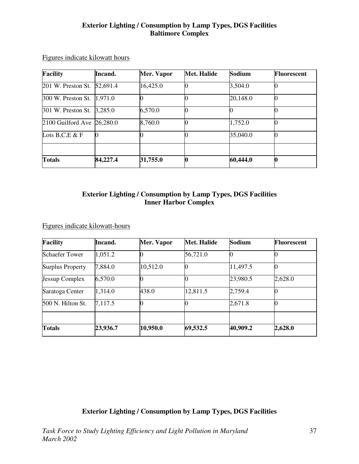#### **Exterior Lighting / Consumption by Lamp Types, DGS Facilities Baltimore Complex**

| Facility                    | Incand.  | Mer. Vapor | <b>Met. Halide</b> | Sodium   | <b>Fluorescent</b> |
|-----------------------------|----------|------------|--------------------|----------|--------------------|
| 201 W. Preston St. 52,691.4 |          | 16,425.0   |                    | 3,504.0  |                    |
| 300 W. Preston St. 1,971.0  |          |            |                    | 20,148.0 |                    |
| 301 W. Preston St. 3,285.0  |          | 6,570.0    |                    |          |                    |
| 2100 Guilford Ave 26,280.0  |          | 8,760.0    |                    | 1,752.0  |                    |
| Lots $B, C, E \& F$         | 0        |            |                    | 35,040.0 |                    |
|                             |          |            |                    |          |                    |
| <b>Totals</b>               | 84,227.4 | 31,755.0   |                    | 60,444.0 |                    |

Figures indicate kilowatt hours

# **Exterior Lighting / Consumption by Lamp Types, DGS Facilities Inner Harbor Complex**

Figures indicate kilowatt-hours

| <b>Facility</b>         | Incand.  | Mer. Vapor | <b>Met. Halide</b> | Sodium   | <b>Fluorescent</b> |
|-------------------------|----------|------------|--------------------|----------|--------------------|
| <b>Schaefer Tower</b>   | 1,051.2  |            | 56,721.0           |          |                    |
| <b>Surplus Property</b> | 7,884.0  | 10,512.0   |                    | 11,497.5 |                    |
| Jessup Complex          | 6,570.0  |            |                    | 23,980.5 | 2,628.0            |
| Saratoga Center         | 1,314.0  | 438.0      | 12,811.5           | 2,759.4  |                    |
| 500 N. Hilton St.       | 7,117.5  |            |                    | 2,671.8  |                    |
|                         |          |            |                    |          |                    |
| <b>Totals</b>           | 23,936.7 | 10,950.0   | 69,532.5           | 40,909.2 | 2,628.0            |

**Exterior Lighting / Consumption by Lamp Types, DGS Facilities**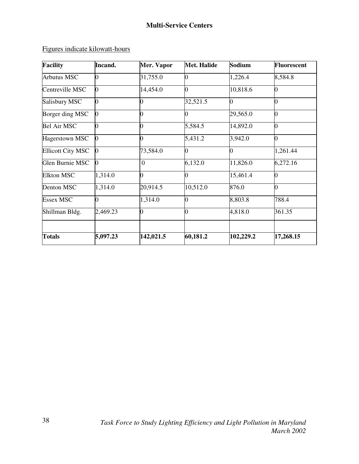Figures indicate kilowatt-hours

| <b>Facility</b>          | Incand.      | Mer. Vapor     | <b>Met. Halide</b> | Sodium         | <b>Fluorescent</b> |
|--------------------------|--------------|----------------|--------------------|----------------|--------------------|
| <b>Arbutus MSC</b>       | 0            | 31,755.0       | 0                  | 1,226.4        | 8,584.8            |
| Centreville MSC          | $\bf{0}$     | 14,454.0       | 0                  | 10,818.6       |                    |
| Salisbury MSC            | 0            |                | 32,521.5           | $\overline{0}$ |                    |
| Borger ding MSC          | 0            | 0              | 0                  | 29,565.0       | 0                  |
| <b>Bel Air MSC</b>       |              | N              | 5,584.5            | 14,892.0       | O                  |
| Hagerstown MSC           | $\mathbf{0}$ | 0              | 5,431.2            | 3,942.0        | 0                  |
| <b>Ellicott City MSC</b> | $\bf{0}$     | 73,584.0       | 0                  | 0              | 1,261.44           |
| Glen Burnie MSC          | 0            | $\overline{0}$ | 6,132.0            | 11,826.0       | 6,272.16           |
| <b>Elkton MSC</b>        | 1,314.0      | 0              | 0                  | 15,461.4       |                    |
| Denton MSC               | 1,314.0      | 20,914.5       | 10,512.0           | 876.0          | 0                  |
| <b>Essex MSC</b>         |              | 1,314.0        | 0                  | 8,803.8        | 788.4              |
| Shillman Bldg.           | 2,469.23     | 0              | 0                  | 4,818.0        | 361.35             |
| <b>Totals</b>            | 5,097.23     | 142,021.5      | 60,181.2           | 102,229.2      | 17,268.15          |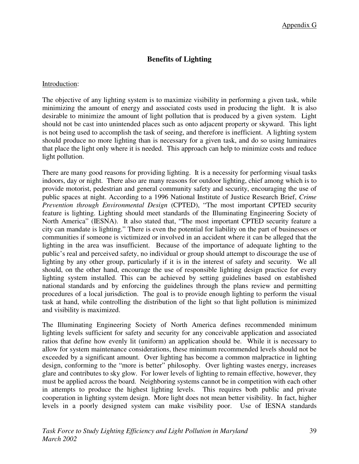# **Benefits of Lighting**

#### Introduction:

The objective of any lighting system is to maximize visibility in performing a given task, while minimizing the amount of energy and associated costs used in producing the light. It is also desirable to minimize the amount of light pollution that is produced by a given system. Light should not be cast into unintended places such as onto adjacent property or skyward. This light is not being used to accomplish the task of seeing, and therefore is inefficient. A lighting system should produce no more lighting than is necessary for a given task, and do so using luminaires that place the light only where it is needed. This approach can help to minimize costs and reduce light pollution.

There are many good reasons for providing lighting. It is a necessity for performing visual tasks indoors, day or night. There also are many reasons for outdoor lighting, chief among which is to provide motorist, pedestrian and general community safety and security, encouraging the use of public spaces at night. According to a 1996 National Institute of Justice Research Brief, *Crime Prevention through Environmental Design* (CPTED), "The most important CPTED security feature is lighting. Lighting should meet standards of the Illuminating Engineering Society of North America" (IESNA). It also stated that, "The most important CPTED security feature a city can mandate is lighting." There is even the potential for liability on the part of businesses or communities if someone is victimized or involved in an accident where it can be alleged that the lighting in the area was insufficient. Because of the importance of adequate lighting to the public's real and perceived safety, no individual or group should attempt to discourage the use of lighting by any other group, particularly if it is in the interest of safety and security. We all should, on the other hand, encourage the use of responsible lighting design practice for every lighting system installed. This can be achieved by setting guidelines based on established national standards and by enforcing the guidelines through the plans review and permitting procedures of a local jurisdiction. The goal is to provide enough lighting to perform the visual task at hand, while controlling the distribution of the light so that light pollution is minimized and visibility is maximized.

The Illuminating Engineering Society of North America defines recommended minimum lighting levels sufficient for safety and security for any conceivable application and associated ratios that define how evenly lit (uniform) an application should be. While it is necessary to allow for system maintenance considerations, these minimum recommended levels should not be exceeded by a significant amount. Over lighting has become a common malpractice in lighting design, conforming to the "more is better" philosophy. Over lighting wastes energy, increases glare and contributes to sky glow. For lower levels of lighting to remain effective, however, they must be applied across the board. Neighboring systems cannot be in competition with each other in attempts to produce the highest lighting levels. This requires both public and private cooperation in lighting system design. More light does not mean better visibility. In fact, higher levels in a poorly designed system can make visibility poor. Use of IESNA standards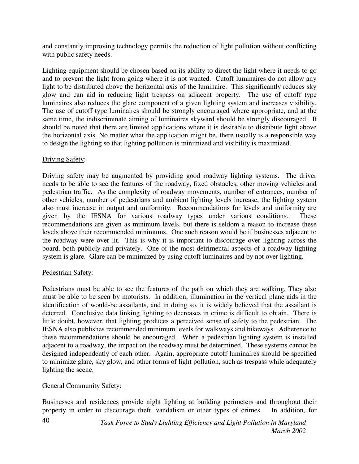and constantly improving technology permits the reduction of light pollution without conflicting with public safety needs.

Lighting equipment should be chosen based on its ability to direct the light where it needs to go and to prevent the light from going where it is not wanted. Cutoff luminaires do not allow any light to be distributed above the horizontal axis of the luminaire. This significantly reduces sky glow and can aid in reducing light trespass on adjacent property. The use of cutoff type luminaires also reduces the glare component of a given lighting system and increases visibility. The use of cutoff type luminaires should be strongly encouraged where appropriate, and at the same time, the indiscriminate aiming of luminaires skyward should be strongly discouraged. It should be noted that there are limited applications where it is desirable to distribute light above the horizontal axis. No matter what the application might be, there usually is a responsible way to design the lighting so that lighting pollution is minimized and visibility is maximized.

# Driving Safety:

Driving safety may be augmented by providing good roadway lighting systems. The driver needs to be able to see the features of the roadway, fixed obstacles, other moving vehicles and pedestrian traffic. As the complexity of roadway movements, number of entrances, number of other vehicles, number of pedestrians and ambient lighting levels increase, the lighting system also must increase in output and uniformity. Recommendations for levels and uniformity are given by the IESNA for various roadway types under various conditions. These recommendations are given as minimum levels, but there is seldom a reason to increase these levels above their recommended minimums. One such reason would be if businesses adjacent to the roadway were over lit. This is why it is important to discourage over lighting across the board, both publicly and privately. One of the most detrimental aspects of a roadway lighting system is glare. Glare can be minimized by using cutoff luminaires and by not over lighting.

### Pedestrian Safety:

Pedestrians must be able to see the features of the path on which they are walking. They also must be able to be seen by motorists. In addition, illumination in the vertical plane aids in the identification of would-be assailants, and in doing so, it is widely believed that the assailant is deterred. Conclusive data linking lighting to decreases in crime is difficult to obtain. There is little doubt, however, that lighting produces a perceived sense of safety to the pedestrian. The IESNA also publishes recommended minimum levels for walkways and bikeways. Adherence to these recommendations should be encouraged. When a pedestrian lighting system is installed adjacent to a roadway, the impact on the roadway must be determined. These systems cannot be designed independently of each other. Again, appropriate cutoff luminaires should be specified to minimize glare, sky glow, and other forms of light pollution, such as trespass while adequately lighting the scene.

### General Community Safety:

Businesses and residences provide night lighting at building perimeters and throughout their property in order to discourage theft, vandalism or other types of crimes. In addition, for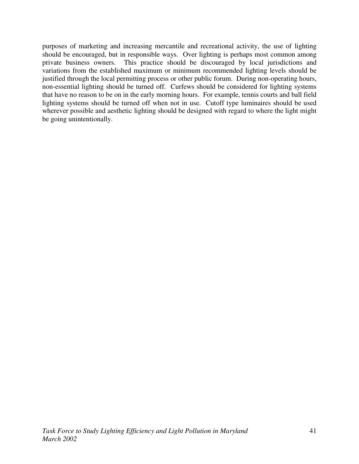purposes of marketing and increasing mercantile and recreational activity, the use of lighting should be encouraged, but in responsible ways. Over lighting is perhaps most common among private business owners. This practice should be discouraged by local jurisdictions and variations from the established maximum or minimum recommended lighting levels should be justified through the local permitting process or other public forum. During non-operating hours, non-essential lighting should be turned off. Curfews should be considered for lighting systems that have no reason to be on in the early morning hours. For example, tennis courts and ball field lighting systems should be turned off when not in use. Cutoff type luminaires should be used wherever possible and aesthetic lighting should be designed with regard to where the light might be going unintentionally.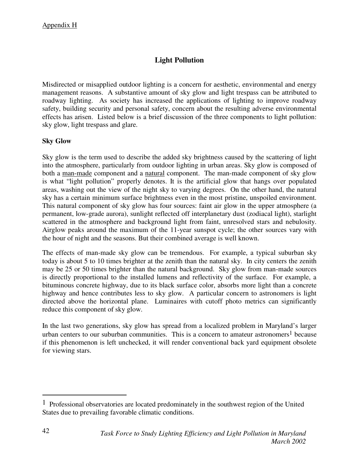# **Light Pollution**

Misdirected or misapplied outdoor lighting is a concern for aesthetic, environmental and energy management reasons. A substantive amount of sky glow and light trespass can be attributed to roadway lighting. As society has increased the applications of lighting to improve roadway safety, building security and personal safety, concern about the resulting adverse environmental effects has arisen. Listed below is a brief discussion of the three components to light pollution: sky glow, light trespass and glare.

# **Sky Glow**

Sky glow is the term used to describe the added sky brightness caused by the scattering of light into the atmosphere, particularly from outdoor lighting in urban areas. Sky glow is composed of both a man-made component and a natural component. The man-made component of sky glow is what "light pollution" properly denotes. It is the artificial glow that hangs over populated areas, washing out the view of the night sky to varying degrees. On the other hand, the natural sky has a certain minimum surface brightness even in the most pristine, unspoiled environment. This natural component of sky glow has four sources: faint air glow in the upper atmosphere (a permanent, low-grade aurora), sunlight reflected off interplanetary dust (zodiacal light), starlight scattered in the atmosphere and background light from faint, unresolved stars and nebulosity. Airglow peaks around the maximum of the 11-year sunspot cycle; the other sources vary with the hour of night and the seasons. But their combined average is well known.

The effects of man-made sky glow can be tremendous. For example, a typical suburban sky today is about 5 to 10 times brighter at the zenith than the natural sky. In city centers the zenith may be 25 or 50 times brighter than the natural background. Sky glow from man-made sources is directly proportional to the installed lumens and reflectivity of the surface. For example, a bituminous concrete highway, due to its black surface color, absorbs more light than a concrete highway and hence contributes less to sky glow. A particular concern to astronomers is light directed above the horizontal plane. Luminaires with cutoff photo metrics can significantly reduce this component of sky glow.

In the last two generations, sky glow has spread from a localized problem in Maryland's larger urban centers to our suburban communities. This is a concern to amateur astronomers<sup>1</sup> because if this phenomenon is left unchecked, it will render conventional back yard equipment obsolete for viewing stars.

 $\overline{a}$ 

<sup>1</sup> Professional observatories are located predominately in the southwest region of the United States due to prevailing favorable climatic conditions.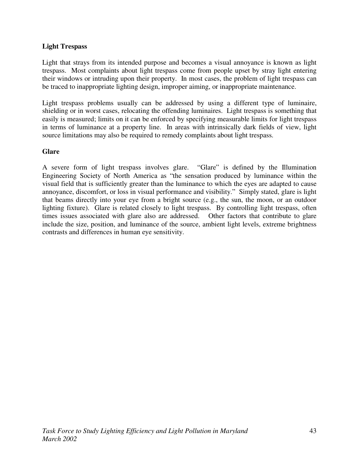#### **Light Trespass**

Light that strays from its intended purpose and becomes a visual annoyance is known as light trespass. Most complaints about light trespass come from people upset by stray light entering their windows or intruding upon their property. In most cases, the problem of light trespass can be traced to inappropriate lighting design, improper aiming, or inappropriate maintenance.

Light trespass problems usually can be addressed by using a different type of luminaire, shielding or in worst cases, relocating the offending luminaires. Light trespass is something that easily is measured; limits on it can be enforced by specifying measurable limits for light trespass in terms of luminance at a property line. In areas with intrinsically dark fields of view, light source limitations may also be required to remedy complaints about light trespass.

#### **Glare**

A severe form of light trespass involves glare. "Glare" is defined by the Illumination Engineering Society of North America as "the sensation produced by luminance within the visual field that is sufficiently greater than the luminance to which the eyes are adapted to cause annoyance, discomfort, or loss in visual performance and visibility." Simply stated, glare is light that beams directly into your eye from a bright source (e.g., the sun, the moon, or an outdoor lighting fixture). Glare is related closely to light trespass. By controlling light trespass, often times issues associated with glare also are addressed. Other factors that contribute to glare include the size, position, and luminance of the source, ambient light levels, extreme brightness contrasts and differences in human eye sensitivity.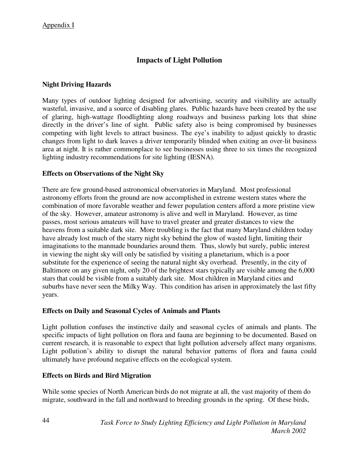# **Impacts of Light Pollution**

# **Night Driving Hazards**

Many types of outdoor lighting designed for advertising, security and visibility are actually wasteful, invasive, and a source of disabling glares. Public hazards have been created by the use of glaring, high-wattage floodlighting along roadways and business parking lots that shine directly in the driver's line of sight. Public safety also is being compromised by businesses competing with light levels to attract business. The eye's inability to adjust quickly to drastic changes from light to dark leaves a driver temporarily blinded when exiting an over-lit business area at night. It is rather commonplace to see businesses using three to six times the recognized lighting industry recommendations for site lighting (IESNA).

# **Effects on Observations of the Night Sky**

There are few ground-based astronomical observatories in Maryland. Most professional astronomy efforts from the ground are now accomplished in extreme western states where the combination of more favorable weather and fewer population centers afford a more pristine view of the sky. However, amateur astronomy is alive and well in Maryland. However, as time passes, most serious amateurs will have to travel greater and greater distances to view the heavens from a suitable dark site. More troubling is the fact that many Maryland children today have already lost much of the starry night sky behind the glow of wasted light, limiting their imaginations to the manmade boundaries around them. Thus, slowly but surely, public interest in viewing the night sky will only be satisfied by visiting a planetarium, which is a poor substitute for the experience of seeing the natural night sky overhead. Presently, in the city of Baltimore on any given night, only 20 of the brightest stars typically are visible among the 6,000 stars that could be visible from a suitably dark site. Most children in Maryland cities and suburbs have never seen the Milky Way. This condition has arisen in approximately the last fifty years.

### **Effects on Daily and Seasonal Cycles of Animals and Plants**

Light pollution confuses the instinctive daily and seasonal cycles of animals and plants. The specific impacts of light pollution on flora and fauna are beginning to be documented. Based on current research, it is reasonable to expect that light pollution adversely affect many organisms. Light pollution's ability to disrupt the natural behavior patterns of flora and fauna could ultimately have profound negative effects on the ecological system.

# **Effects on Birds and Bird Migration**

While some species of North American birds do not migrate at all, the vast majority of them do migrate, southward in the fall and northward to breeding grounds in the spring. Of these birds,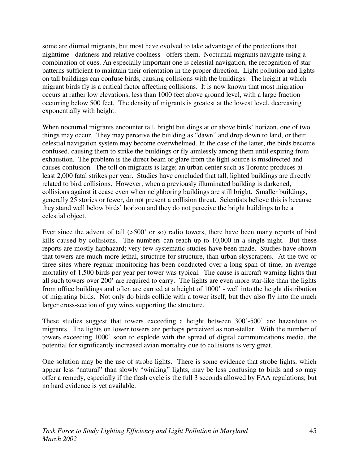some are diurnal migrants, but most have evolved to take advantage of the protections that nighttime - darkness and relative coolness - offers them. Nocturnal migrants navigate using a combination of cues. An especially important one is celestial navigation, the recognition of star patterns sufficient to maintain their orientation in the proper direction. Light pollution and lights on tall buildings can confuse birds, causing collisions with the buildings. The height at which migrant birds fly is a critical factor affecting collisions. It is now known that most migration occurs at rather low elevations, less than 1000 feet above ground level, with a large fraction occurring below 500 feet. The density of migrants is greatest at the lowest level, decreasing exponentially with height.

When nocturnal migrants encounter tall, bright buildings at or above birds' horizon, one of two things may occur. They may perceive the building as "dawn" and drop down to land, or their celestial navigation system may become overwhelmed. In the case of the latter, the birds become confused, causing them to strike the buildings or fly aimlessly among them until expiring from exhaustion. The problem is the direct beam or glare from the light source is misdirected and causes confusion. The toll on migrants is large; an urban center such as Toronto produces at least 2,000 fatal strikes per year. Studies have concluded that tall, lighted buildings are directly related to bird collisions. However, when a previously illuminated building is darkened, collisions against it cease even when neighboring buildings are still bright. Smaller buildings, generally 25 stories or fewer, do not present a collision threat. Scientists believe this is because they stand well below birds' horizon and they do not perceive the bright buildings to be a celestial object.

Ever since the advent of tall (>500' or so) radio towers, there have been many reports of bird kills caused by collisions. The numbers can reach up to 10,000 in a single night. But these reports are mostly haphazard; very few systematic studies have been made. Studies have shown that towers are much more lethal, structure for structure, than urban skyscrapers. At the two or three sites where regular monitoring has been conducted over a long span of time, an average mortality of 1,500 birds per year per tower was typical. The cause is aircraft warning lights that all such towers over 200' are required to carry. The lights are even more star-like than the lights from office buildings and often are carried at a height of 1000' - well into the height distribution of migrating birds. Not only do birds collide with a tower itself, but they also fly into the much larger cross-section of guy wires supporting the structure.

These studies suggest that towers exceeding a height between 300'-500' are hazardous to migrants. The lights on lower towers are perhaps perceived as non-stellar. With the number of towers exceeding 1000' soon to explode with the spread of digital communications media, the potential for significantly increased avian mortality due to collisions is very great.

One solution may be the use of strobe lights. There is some evidence that strobe lights, which appear less "natural" than slowly "winking" lights, may be less confusing to birds and so may offer a remedy, especially if the flash cycle is the full 3 seconds allowed by FAA regulations; but no hard evidence is yet available.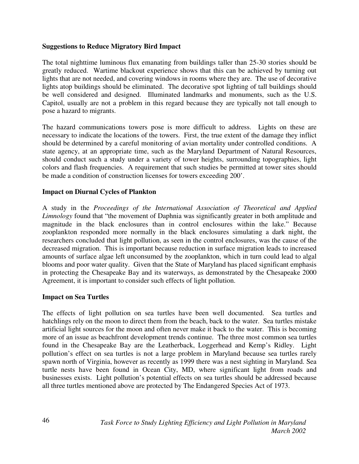#### **Suggestions to Reduce Migratory Bird Impact**

The total nighttime luminous flux emanating from buildings taller than 25-30 stories should be greatly reduced. Wartime blackout experience shows that this can be achieved by turning out lights that are not needed, and covering windows in rooms where they are. The use of decorative lights atop buildings should be eliminated. The decorative spot lighting of tall buildings should be well considered and designed. Illuminated landmarks and monuments, such as the U.S. Capitol, usually are not a problem in this regard because they are typically not tall enough to pose a hazard to migrants.

The hazard communications towers pose is more difficult to address. Lights on these are necessary to indicate the locations of the towers. First, the true extent of the damage they inflict should be determined by a careful monitoring of avian mortality under controlled conditions. A state agency, at an appropriate time, such as the Maryland Department of Natural Resources, should conduct such a study under a variety of tower heights, surrounding topographies, light colors and flash frequencies. A requirement that such studies be permitted at tower sites should be made a condition of construction licenses for towers exceeding 200'.

#### **Impact on Diurnal Cycles of Plankton**

A study in the *Proceedings of the International Association of Theoretical and Applied Limnology* found that "the movement of Daphnia was significantly greater in both amplitude and magnitude in the black enclosures than in control enclosures within the lake." Because zooplankton responded more normally in the black enclosures simulating a dark night, the researchers concluded that light pollution, as seen in the control enclosures, was the cause of the decreased migration. This is important because reduction in surface migration leads to increased amounts of surface algae left unconsumed by the zooplankton, which in turn could lead to algal blooms and poor water quality. Given that the State of Maryland has placed significant emphasis in protecting the Chesapeake Bay and its waterways, as demonstrated by the Chesapeake 2000 Agreement, it is important to consider such effects of light pollution.

#### **Impact on Sea Turtles**

The effects of light pollution on sea turtles have been well documented. Sea turtles and hatchlings rely on the moon to direct them from the beach, back to the water. Sea turtles mistake artificial light sources for the moon and often never make it back to the water. This is becoming more of an issue as beachfront development trends continue. The three most common sea turtles found in the Chesapeake Bay are the Leatherback, Loggerhead and Kemp's Ridley. Light pollution's effect on sea turtles is not a large problem in Maryland because sea turtles rarely spawn north of Virginia, however as recently as 1999 there was a nest sighting in Maryland. Sea turtle nests have been found in Ocean City, MD, where significant light from roads and businesses exists. Light pollution's potential effects on sea turtles should be addressed because all three turtles mentioned above are protected by The Endangered Species Act of 1973.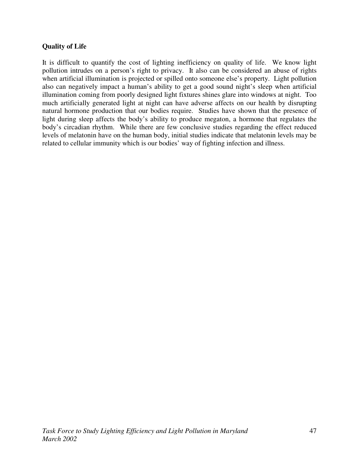# **Quality of Life**

It is difficult to quantify the cost of lighting inefficiency on quality of life. We know light pollution intrudes on a person's right to privacy. It also can be considered an abuse of rights when artificial illumination is projected or spilled onto someone else's property. Light pollution also can negatively impact a human's ability to get a good sound night's sleep when artificial illumination coming from poorly designed light fixtures shines glare into windows at night. Too much artificially generated light at night can have adverse affects on our health by disrupting natural hormone production that our bodies require. Studies have shown that the presence of light during sleep affects the body's ability to produce megaton, a hormone that regulates the body's circadian rhythm. While there are few conclusive studies regarding the effect reduced levels of melatonin have on the human body, initial studies indicate that melatonin levels may be related to cellular immunity which is our bodies' way of fighting infection and illness.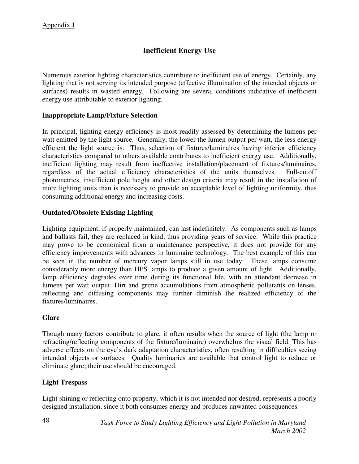# **Inefficient Energy Use**

Numerous exterior lighting characteristics contribute to inefficient use of energy. Certainly, any lighting that is not serving its intended purpose (effective illumination of the intended objects or surfaces) results in wasted energy. Following are several conditions indicative of inefficient energy use attributable to exterior lighting.

#### **Inappropriate Lamp/Fixture Selection**

In principal, lighting energy efficiency is most readily assessed by determining the lumens per watt emitted by the light source. Generally, the lower the lumen output per watt, the less energy efficient the light source is. Thus, selection of fixtures/luminaires having inferior efficiency characteristics compared to others available contributes to inefficient energy use. Additionally, inefficient lighting may result from ineffective installation/placement of fixtures/luminaires, regardless of the actual efficiency characteristics of the units themselves. Full-cutoff photometrics, insufficient pole height and other design criteria may result in the installation of more lighting units than is necessary to provide an acceptable level of lighting uniformity, thus consuming additional energy and increasing costs.

### **Outdated/Obsolete Existing Lighting**

Lighting equipment, if properly maintained, can last indefinitely. As components such as lamps and ballasts fail, they are replaced in kind, thus providing years of service. While this practice may prove to be economical from a maintenance perspective, it does not provide for any efficiency improvements with advances in luminaire technology. The best example of this can be seen in the number of mercury vapor lamps still in use today. These lamps consume considerably more energy than HPS lamps to produce a given amount of light. Additionally, lamp efficiency degrades over time during its functional life, with an attendant decrease in lumens per watt output. Dirt and grime accumulations from atmospheric pollutants on lenses, reflecting and diffusing components may further diminish the realized efficiency of the fixtures/luminaires.

#### **Glare**

Though many factors contribute to glare, it often results when the source of light (the lamp or refracting/reflecting components of the fixture/luminaire) overwhelms the visual field. This has adverse effects on the eye's dark adaptation characteristics, often resulting in difficulties seeing intended objects or surfaces. Quality luminaries are available that control light to reduce or eliminate glare; their use should be encouraged.

### **Light Trespass**

Light shining or reflecting onto property, which it is not intended nor desired, represents a poorly designed installation, since it both consumes energy and produces unwanted consequences.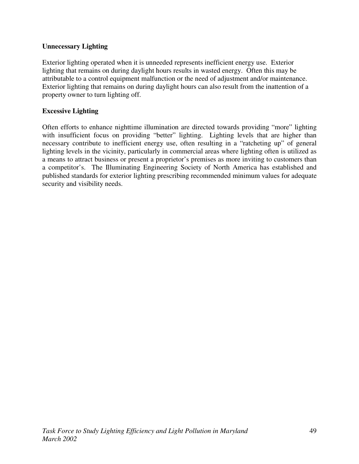# **Unnecessary Lighting**

Exterior lighting operated when it is unneeded represents inefficient energy use. Exterior lighting that remains on during daylight hours results in wasted energy. Often this may be attributable to a control equipment malfunction or the need of adjustment and/or maintenance. Exterior lighting that remains on during daylight hours can also result from the inattention of a property owner to turn lighting off.

# **Excessive Lighting**

Often efforts to enhance nighttime illumination are directed towards providing "more" lighting with insufficient focus on providing "better" lighting. Lighting levels that are higher than necessary contribute to inefficient energy use, often resulting in a "ratcheting up" of general lighting levels in the vicinity, particularly in commercial areas where lighting often is utilized as a means to attract business or present a proprietor's premises as more inviting to customers than a competitor's. The Illuminating Engineering Society of North America has established and published standards for exterior lighting prescribing recommended minimum values for adequate security and visibility needs.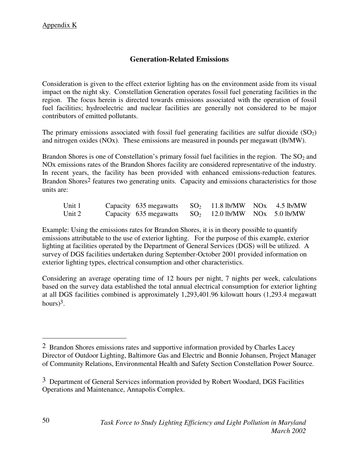# **Generation-Related Emissions**

Consideration is given to the effect exterior lighting has on the environment aside from its visual impact on the night sky. Constellation Generation operates fossil fuel generating facilities in the region. The focus herein is directed towards emissions associated with the operation of fossil fuel facilities; hydroelectric and nuclear facilities are generally not considered to be major contributors of emitted pollutants.

The primary emissions associated with fossil fuel generating facilities are sulfur dioxide  $(SO<sub>2</sub>)$ and nitrogen oxides (NOx). These emissions are measured in pounds per megawatt (lb/MW).

Brandon Shores is one of Constellation's primary fossil fuel facilities in the region. The  $SO_2$  and NOx emissions rates of the Brandon Shores facility are considered representative of the industry. In recent years, the facility has been provided with enhanced emissions-reduction features. Brandon Shores<sup>2</sup> features two generating units. Capacity and emissions characteristics for those units are:

| Unit 1 | Capacity 635 megawatts $SO_2$ 11.8 lb/MW NOx 4.5 lb/MW |  |  |
|--------|--------------------------------------------------------|--|--|
| Unit 2 | Capacity 635 megawatts $SO_2$ 12.0 lb/MW NOx 5.0 lb/MW |  |  |

Example: Using the emissions rates for Brandon Shores, it is in theory possible to quantify emissions attributable to the use of exterior lighting. For the purpose of this example, exterior lighting at facilities operated by the Department of General Services (DGS) will be utilized. A survey of DGS facilities undertaken during September-October 2001 provided information on exterior lighting types, electrical consumption and other characteristics.

Considering an average operating time of 12 hours per night, 7 nights per week, calculations based on the survey data established the total annual electrical consumption for exterior lighting at all DGS facilities combined is approximately 1,293,401.96 kilowatt hours (1,293.4 megawatt hours $)^3$ .

 $\overline{a}$ 

<sup>2</sup> Brandon Shores emissions rates and supportive information provided by Charles Lacey Director of Outdoor Lighting, Baltimore Gas and Electric and Bonnie Johansen, Project Manager of Community Relations, Environmental Health and Safety Section Constellation Power Source.

<sup>&</sup>lt;sup>3</sup> Department of General Services information provided by Robert Woodard, DGS Facilities Operations and Maintenance, Annapolis Complex.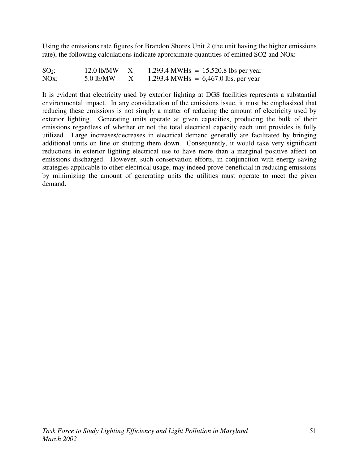Using the emissions rate figures for Brandon Shores Unit 2 (the unit having the higher emissions rate), the following calculations indicate approximate quantities of emitted SO2 and NOx:

| $SO_2$ :          | $12.0$ lb/MW | 1,293.4 MWHs = $15,520.8$ lbs per year |
|-------------------|--------------|----------------------------------------|
| NO <sub>x</sub> : | $5.0$ lb/MW  | 1,293.4 MWHs = $6,467.0$ lbs. per year |

It is evident that electricity used by exterior lighting at DGS facilities represents a substantial environmental impact. In any consideration of the emissions issue, it must be emphasized that reducing these emissions is not simply a matter of reducing the amount of electricity used by exterior lighting. Generating units operate at given capacities, producing the bulk of their emissions regardless of whether or not the total electrical capacity each unit provides is fully utilized. Large increases/decreases in electrical demand generally are facilitated by bringing additional units on line or shutting them down. Consequently, it would take very significant reductions in exterior lighting electrical use to have more than a marginal positive affect on emissions discharged. However, such conservation efforts, in conjunction with energy saving strategies applicable to other electrical usage, may indeed prove beneficial in reducing emissions by minimizing the amount of generating units the utilities must operate to meet the given demand.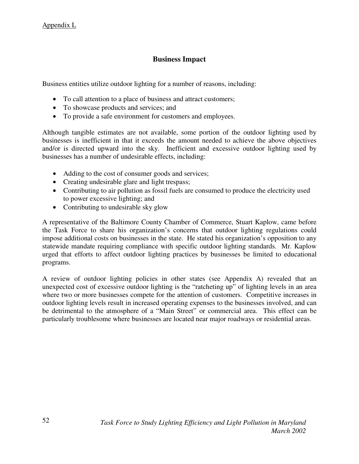# **Business Impact**

Business entities utilize outdoor lighting for a number of reasons, including:

- To call attention to a place of business and attract customers;
- To showcase products and services; and
- To provide a safe environment for customers and employees.

Although tangible estimates are not available, some portion of the outdoor lighting used by businesses is inefficient in that it exceeds the amount needed to achieve the above objectives and/or is directed upward into the sky. Inefficient and excessive outdoor lighting used by businesses has a number of undesirable effects, including:

- Adding to the cost of consumer goods and services;
- Creating undesirable glare and light trespass;
- Contributing to air pollution as fossil fuels are consumed to produce the electricity used to power excessive lighting; and
- Contributing to undesirable sky glow

A representative of the Baltimore County Chamber of Commerce, Stuart Kaplow, came before the Task Force to share his organization's concerns that outdoor lighting regulations could impose additional costs on businesses in the state. He stated his organization's opposition to any statewide mandate requiring compliance with specific outdoor lighting standards. Mr. Kaplow urged that efforts to affect outdoor lighting practices by businesses be limited to educational programs.

A review of outdoor lighting policies in other states (see Appendix A) revealed that an unexpected cost of excessive outdoor lighting is the "ratcheting up" of lighting levels in an area where two or more businesses compete for the attention of customers. Competitive increases in outdoor lighting levels result in increased operating expenses to the businesses involved, and can be detrimental to the atmosphere of a "Main Street" or commercial area. This effect can be particularly troublesome where businesses are located near major roadways or residential areas.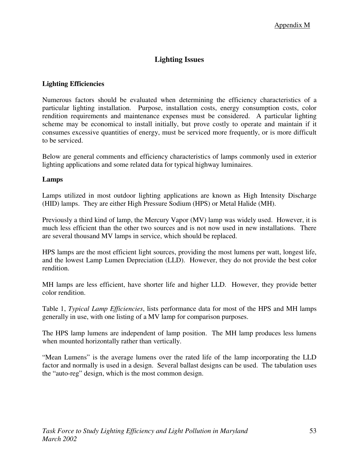# **Lighting Issues**

### **Lighting Efficiencies**

Numerous factors should be evaluated when determining the efficiency characteristics of a particular lighting installation. Purpose, installation costs, energy consumption costs, color rendition requirements and maintenance expenses must be considered. A particular lighting scheme may be economical to install initially, but prove costly to operate and maintain if it consumes excessive quantities of energy, must be serviced more frequently, or is more difficult to be serviced.

Below are general comments and efficiency characteristics of lamps commonly used in exterior lighting applications and some related data for typical highway luminaires.

#### **Lamps**

Lamps utilized in most outdoor lighting applications are known as High Intensity Discharge (HID) lamps. They are either High Pressure Sodium (HPS) or Metal Halide (MH).

Previously a third kind of lamp, the Mercury Vapor (MV) lamp was widely used. However, it is much less efficient than the other two sources and is not now used in new installations. There are several thousand MV lamps in service, which should be replaced.

HPS lamps are the most efficient light sources, providing the most lumens per watt, longest life, and the lowest Lamp Lumen Depreciation (LLD). However, they do not provide the best color rendition.

MH lamps are less efficient, have shorter life and higher LLD. However, they provide better color rendition.

Table 1, *Typical Lamp Efficiencies*, lists performance data for most of the HPS and MH lamps generally in use, with one listing of a MV lamp for comparison purposes.

The HPS lamp lumens are independent of lamp position. The MH lamp produces less lumens when mounted horizontally rather than vertically.

"Mean Lumens" is the average lumens over the rated life of the lamp incorporating the LLD factor and normally is used in a design. Several ballast designs can be used. The tabulation uses the "auto-reg" design, which is the most common design.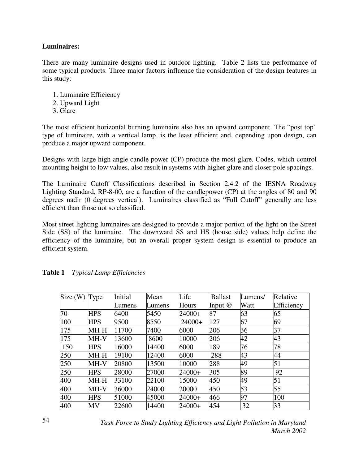#### **Luminaires:**

There are many luminaire designs used in outdoor lighting. Table 2 lists the performance of some typical products. Three major factors influence the consideration of the design features in this study:

- 1. Luminaire Efficiency
- 2. Upward Light
- 3. Glare

The most efficient horizontal burning luminaire also has an upward component. The "post top" type of luminaire, with a vertical lamp, is the least efficient and, depending upon design, can produce a major upward component.

Designs with large high angle candle power (CP) produce the most glare. Codes, which control mounting height to low values, also result in systems with higher glare and closer pole spacings.

The Luminaire Cutoff Classifications described in Section 2.4.2 of the IESNA Roadway Lighting Standard, RP-8-00, are a function of the candlepower (CP) at the angles of 80 and 90 degrees nadir (0 degrees vertical). Luminaires classified as "Full Cutoff" generally are less efficient than those not so classified.

Most street lighting luminaires are designed to provide a major portion of the light on the Street Side (SS) of the luminaire. The downward SS and HS (house side) values help define the efficiency of the luminaire, but an overall proper system design is essential to produce an efficient system.

| Size(W) | Type       | Initial | Mean   | Life     | <b>Ballast</b> | Lumens/ | Relative   |
|---------|------------|---------|--------|----------|----------------|---------|------------|
|         |            | Lumens  | Lumens | Hours    | Input $@$      | Watt    | Efficiency |
| 70      | <b>HPS</b> | 6400    | 5450   | 24000+   | 87             | 63      | 65         |
| 100     | <b>HPS</b> | 9500    | 8550   | $24000+$ | 127            | 67      | 69         |
| 175     | $MH-H$     | 11700   | 7400   | 6000     | 206            | 36      | 37         |
| 175     | MH-V       | 13600   | 8600   | 10000    | 206            | 42      | 43         |
| 150     | <b>HPS</b> | 16000   | 14400  | 6000     | 189            | 76      | 78         |
| 250     | MH-H       | 19100   | 12400  | 6000     | 288            | 43      | 44         |
| 250     | MH-V       | 20800   | 13500  | 10000    | 288            | 49      | 51         |
| 250     | <b>HPS</b> | 28000   | 27000  | 24000+   | 305            | 89      | 92         |
| 400     | $MH-H$     | 33100   | 22100  | 15000    | 450            | 49      | 51         |
| 400     | MH-V       | 36000   | 24000  | 20000    | 450            | 53      | 55         |
| 400     | <b>HPS</b> | 51000   | 45000  | $24000+$ | 466            | 97      | 100        |
| 400     | MV         | 22600   | 14400  | $24000+$ | 454            | 32      | 33         |

| <b>Table 1</b><br><b>Typical Lamp Efficiencies</b> |  |
|----------------------------------------------------|--|
|----------------------------------------------------|--|

*Task Force to Study Lighting Efficiency and Light Pollution in Maryland March 2002*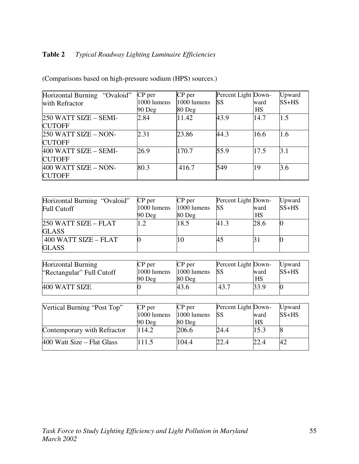# **Table 2** *Typical Roadway Lighting Luminaire Efficiencies*

| Horizontal Burning "Ovaloid" | CP per      | CP per      | Percent Light Down- |           | Upward  |
|------------------------------|-------------|-------------|---------------------|-----------|---------|
| with Refractor               | 1000 lumens | 1000 lumens | <b>SS</b>           | ward      | $SS+HS$ |
|                              | $90$ Deg    | 80 Deg      |                     | <b>HS</b> |         |
| 250 WATT SIZE - SEMI-        | 2.84        | 11.42       | 43.9                | 14.7      | 1.5     |
| <b>CUTOFF</b>                |             |             |                     |           |         |
| 250 WATT SIZE - NON-         | 2.31        | 23.86       | 44.3                | 16.6      | 1.6     |
| <b>CUTOFF</b>                |             |             |                     |           |         |
| 400 WATT SIZE - SEMI-        | 26.9        | 170.7       | 55.9                | 17.5      | 3.1     |
| <b>CUTOFF</b>                |             |             |                     |           |         |
| 400 WATT SIZE - NON-         | 80.3        | 416.7       | 549                 | 19        | 3.6     |
| <b>CUTOFF</b>                |             |             |                     |           |         |

(Comparisons based on high-pressure sodium (HPS) sources.)

| Horizontal Burning "Ovaloid" | $CP$ per       | $CP$ per    | Percent Light Down- |      | Upward  |
|------------------------------|----------------|-------------|---------------------|------|---------|
| <b>Full Cutoff</b>           | $1000$ lumens  | 1000 lumens | <b>SS</b>           | ward | $SS+HS$ |
|                              | $90$ Deg       | $80$ Deg    |                     | HS   |         |
| 250 WATT SIZE - FLAT         | $\overline{2}$ | 18.5        | 41.3                | 28.6 |         |
| <b>GLASS</b>                 |                |             |                     |      |         |
| 400 WATT SIZE - FLAT         |                | 10          | 45                  |      |         |
| <b>GLASS</b>                 |                |             |                     |      |         |

| CP per   | $CP$ per      | Percent Light Down- |      | Upward  |
|----------|---------------|---------------------|------|---------|
|          | $1000$ lumens | <b>SS</b>           | ward | $SS+HS$ |
| $90$ Deg | $80$ Deg      |                     | HS   |         |
|          | 43.6          | 43.7                | 33.9 |         |
|          | 1000 lumens   |                     |      |         |

| Vertical Burning "Post Top" | $CP$ per    | $CP$ per      | Percent Light Down- |      | Upward  |
|-----------------------------|-------------|---------------|---------------------|------|---------|
|                             | 1000 lumens | $1000$ lumens | <b>SS</b>           | ward | $SS+HS$ |
|                             | $90$ Deg    | $80$ Deg      |                     | HS   |         |
| Contemporary with Refractor | 114.2       | 206.6         | 24.4                | 15.3 |         |
| 400 Watt Size – Flat Glass  | 111.5       | 104.4         | 22.4                | 22.4 | 42      |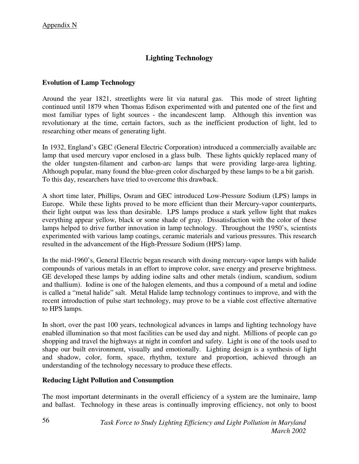# **Lighting Technology**

# **Evolution of Lamp Technology**

Around the year 1821, streetlights were lit via natural gas. This mode of street lighting continued until 1879 when Thomas Edison experimented with and patented one of the first and most familiar types of light sources - the incandescent lamp. Although this invention was revolutionary at the time, certain factors, such as the inefficient production of light, led to researching other means of generating light.

In 1932, England's GEC (General Electric Corporation) introduced a commercially available arc lamp that used mercury vapor enclosed in a glass bulb. These lights quickly replaced many of the older tungsten-filament and carbon-arc lamps that were providing large-area lighting. Although popular, many found the blue-green color discharged by these lamps to be a bit garish. To this day, researchers have tried to overcome this drawback.

A short time later, Phillips, Osram and GEC introduced Low-Pressure Sodium (LPS) lamps in Europe. While these lights proved to be more efficient than their Mercury-vapor counterparts, their light output was less than desirable. LPS lamps produce a stark yellow light that makes everything appear yellow, black or some shade of gray. Dissatisfaction with the color of these lamps helped to drive further innovation in lamp technology. Throughout the 1950's, scientists experimented with various lamp coatings, ceramic materials and various pressures. This research resulted in the advancement of the High-Pressure Sodium (HPS) lamp.

In the mid-1960's, General Electric began research with dosing mercury-vapor lamps with halide compounds of various metals in an effort to improve color, save energy and preserve brightness. GE developed these lamps by adding iodine salts and other metals (indium, scandium, sodium and thallium). Iodine is one of the halogen elements, and thus a compound of a metal and iodine is called a "metal halide" salt. Metal Halide lamp technology continues to improve, and with the recent introduction of pulse start technology, may prove to be a viable cost effective alternative to HPS lamps.

In short, over the past 100 years, technological advances in lamps and lighting technology have enabled illumination so that most facilities can be used day and night. Millions of people can go shopping and travel the highways at night in comfort and safety. Light is one of the tools used to shape our built environment, visually and emotionally. Lighting design is a synthesis of light and shadow, color, form, space, rhythm, texture and proportion, achieved through an understanding of the technology necessary to produce these effects.

### **Reducing Light Pollution and Consumption**

The most important determinants in the overall efficiency of a system are the luminaire, lamp and ballast. Technology in these areas is continually improving efficiency, not only to boost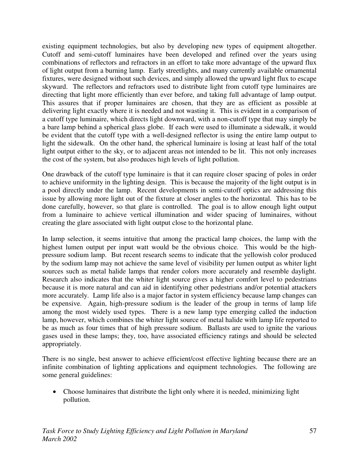existing equipment technologies, but also by developing new types of equipment altogether. Cutoff and semi-cutoff luminaires have been developed and refined over the years using combinations of reflectors and refractors in an effort to take more advantage of the upward flux of light output from a burning lamp. Early streetlights, and many currently available ornamental fixtures, were designed without such devices, and simply allowed the upward light flux to escape skyward. The reflectors and refractors used to distribute light from cutoff type luminaires are directing that light more efficiently than ever before, and taking full advantage of lamp output. This assures that if proper luminaires are chosen, that they are as efficient as possible at delivering light exactly where it is needed and not wasting it. This is evident in a comparison of a cutoff type luminaire, which directs light downward, with a non-cutoff type that may simply be a bare lamp behind a spherical glass globe. If each were used to illuminate a sidewalk, it would be evident that the cutoff type with a well-designed reflector is using the entire lamp output to light the sidewalk. On the other hand, the spherical luminaire is losing at least half of the total light output either to the sky, or to adjacent areas not intended to be lit. This not only increases the cost of the system, but also produces high levels of light pollution.

One drawback of the cutoff type luminaire is that it can require closer spacing of poles in order to achieve uniformity in the lighting design. This is because the majority of the light output is in a pool directly under the lamp. Recent developments in semi-cutoff optics are addressing this issue by allowing more light out of the fixture at closer angles to the horizontal. This has to be done carefully, however, so that glare is controlled. The goal is to allow enough light output from a luminaire to achieve vertical illumination and wider spacing of luminaires, without creating the glare associated with light output close to the horizontal plane.

In lamp selection, it seems intuitive that among the practical lamp choices, the lamp with the highest lumen output per input watt would be the obvious choice. This would be the highpressure sodium lamp. But recent research seems to indicate that the yellowish color produced by the sodium lamp may not achieve the same level of visibility per lumen output as whiter light sources such as metal halide lamps that render colors more accurately and resemble daylight. Research also indicates that the whiter light source gives a higher comfort level to pedestrians because it is more natural and can aid in identifying other pedestrians and/or potential attackers more accurately. Lamp life also is a major factor in system efficiency because lamp changes can be expensive. Again, high-pressure sodium is the leader of the group in terms of lamp life among the most widely used types. There is a new lamp type emerging called the induction lamp, however, which combines the whiter light source of metal halide with lamp life reported to be as much as four times that of high pressure sodium. Ballasts are used to ignite the various gases used in these lamps; they, too, have associated efficiency ratings and should be selected appropriately.

There is no single, best answer to achieve efficient/cost effective lighting because there are an infinite combination of lighting applications and equipment technologies. The following are some general guidelines:

• Choose luminaires that distribute the light only where it is needed, minimizing light pollution.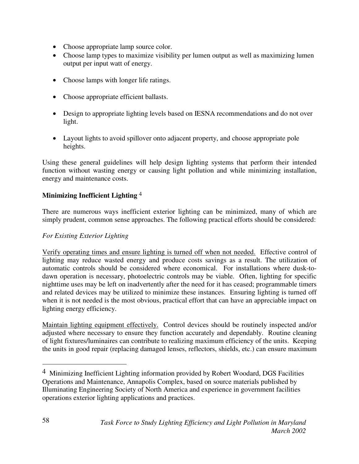- Choose appropriate lamp source color.
- Choose lamp types to maximize visibility per lumen output as well as maximizing lumen output per input watt of energy.
- Choose lamps with longer life ratings.
- Choose appropriate efficient ballasts.
- Design to appropriate lighting levels based on IESNA recommendations and do not over light.
- Layout lights to avoid spillover onto adjacent property, and choose appropriate pole heights.

Using these general guidelines will help design lighting systems that perform their intended function without wasting energy or causing light pollution and while minimizing installation, energy and maintenance costs.

# **Minimizing Inefficient Lighting** 4

There are numerous ways inefficient exterior lighting can be minimized, many of which are simply prudent, common sense approaches. The following practical efforts should be considered:

# *For Existing Exterior Lighting*

Verify operating times and ensure lighting is turned off when not needed. Effective control of lighting may reduce wasted energy and produce costs savings as a result. The utilization of automatic controls should be considered where economical. For installations where dusk-todawn operation is necessary, photoelectric controls may be viable. Often, lighting for specific nighttime uses may be left on inadvertently after the need for it has ceased; programmable timers and related devices may be utilized to minimize these instances. Ensuring lighting is turned off when it is not needed is the most obvious, practical effort that can have an appreciable impact on lighting energy efficiency.

Maintain lighting equipment effectively. Control devices should be routinely inspected and/or adjusted where necessary to ensure they function accurately and dependably. Routine cleaning of light fixtures/luminaires can contribute to realizing maximum efficiency of the units. Keeping the units in good repair (replacing damaged lenses, reflectors, shields, etc.) can ensure maximum

 $\overline{a}$ 

<sup>4</sup> Minimizing Inefficient Lighting information provided by Robert Woodard, DGS Facilities Operations and Maintenance, Annapolis Complex, based on source materials published by Illuminating Engineering Society of North America and experience in government facilities operations exterior lighting applications and practices.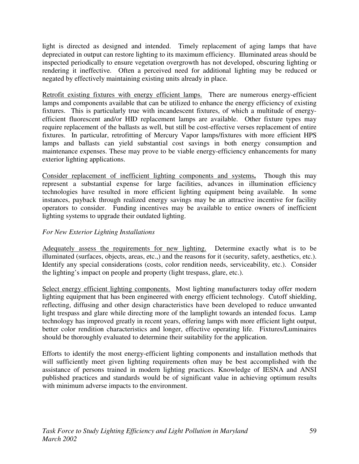light is directed as designed and intended. Timely replacement of aging lamps that have depreciated in output can restore lighting to its maximum efficiency. Illuminated areas should be inspected periodically to ensure vegetation overgrowth has not developed, obscuring lighting or rendering it ineffective. Often a perceived need for additional lighting may be reduced or negated by effectively maintaining existing units already in place.

Retrofit existing fixtures with energy efficient lamps. There are numerous energy-efficient lamps and components available that can be utilized to enhance the energy efficiency of existing fixtures. This is particularly true with incandescent fixtures, of which a multitude of energyefficient fluorescent and/or HID replacement lamps are available. Other fixture types may require replacement of the ballasts as well, but still be cost-effective verses replacement of entire fixtures. In particular, retrofitting of Mercury Vapor lamps/fixtures with more efficient HPS lamps and ballasts can yield substantial cost savings in both energy consumption and maintenance expenses. These may prove to be viable energy-efficiency enhancements for many exterior lighting applications.

Consider replacement of inefficient lighting components and systems**.** Though this may represent a substantial expense for large facilities, advances in illumination efficiency technologies have resulted in more efficient lighting equipment being available. In some instances, payback through realized energy savings may be an attractive incentive for facility operators to consider. Funding incentives may be available to entice owners of inefficient lighting systems to upgrade their outdated lighting.

# *For New Exterior Lighting Installations*

Adequately assess the requirements for new lighting. Determine exactly what is to be illuminated (surfaces, objects, areas, etc.,) and the reasons for it (security, safety, aesthetics, etc.). Identify any special considerations (costs, color rendition needs, serviceability, etc.). Consider the lighting's impact on people and property (light trespass, glare, etc.).

Select energy efficient lighting components. Most lighting manufacturers today offer modern lighting equipment that has been engineered with energy efficient technology. Cutoff shielding, reflecting, diffusing and other design characteristics have been developed to reduce unwanted light trespass and glare while directing more of the lamplight towards an intended focus. Lamp technology has improved greatly in recent years, offering lamps with more efficient light output, better color rendition characteristics and longer, effective operating life. Fixtures/Luminaires should be thoroughly evaluated to determine their suitability for the application.

Efforts to identify the most energy-efficient lighting components and installation methods that will sufficiently meet given lighting requirements often may be best accomplished with the assistance of persons trained in modern lighting practices. Knowledge of IESNA and ANSI published practices and standards would be of significant value in achieving optimum results with minimum adverse impacts to the environment.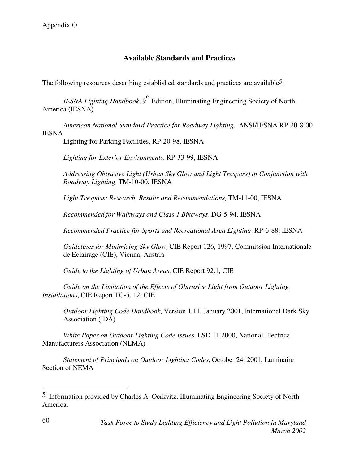# **Available Standards and Practices**

The following resources describing established standards and practices are available<sup>5</sup>:

*IESNA Lighting Handbook*, 9<sup>th</sup> Edition, Illuminating Engineering Society of North America (IESNA)

*American National Standard Practice for Roadway Lighting*, ANSI/IESNA RP-20-8-00, IESNA

Lighting for Parking Facilities, RP-20-98, IESNA

*Lighting for Exterior Environments,* RP-33-99, IESNA

*Addressing Obtrusive Light (Urban Sky Glow and Light Trespass) in Conjunction with Roadway Lighting,* TM-10-00, IESNA

*Light Trespass: Research, Results and Recommendations,* TM-11-00, IESNA

*Recommended for Walkways and Class 1 Bikeways,* DG-5-94, IESNA

*Recommended Practice for Sports and Recreational Area Lighting*, RP-6-88, IESNA

*Guidelines for Minimizing Sky Glow,* CIE Report 126, 1997, Commission Internationale de Eclairage (CIE), Vienna, Austria

*Guide to the Lighting of Urban Areas*, CIE Report 92.1, CIE

*Guide on the Limitation of the Effects of Obtrusive Light from Outdoor Lighting Installations,* CIE Report TC-5. 12, CIE

*Outdoor Lighting Code Handbook,* Version 1.11, January 2001, International Dark Sky Association (IDA)

*White Paper on Outdoor Lighting Code Issues,* LSD 11 2000, National Electrical Manufacturers Association (NEMA)

*Statement of Principals on Outdoor Lighting Codes,* October 24, 2001, Luminaire Section of NEMA

 $\overline{a}$ 

<sup>5</sup> Information provided by Charles A. Oerkvitz, Illuminating Engineering Society of North America.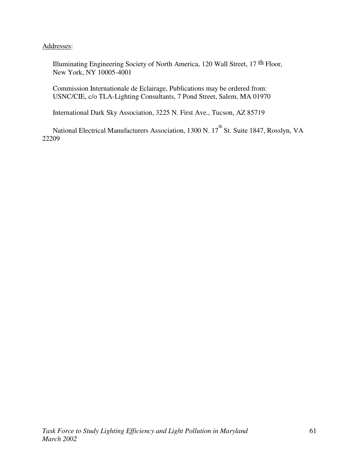Addresses:

Illuminating Engineering Society of North America, 120 Wall Street, 17 th Floor, New York, NY 10005-4001

Commission Internationale de Eclairage, Publications may be ordered from: USNC/CIE, c/o TLA-Lighting Consultants, 7 Pond Street, Salem, MA 01970

International Dark Sky Association, 3225 N. First Ave., Tucson, AZ 85719

National Electrical Manufacturers Association, 1300 N. 17<sup>th</sup> St. Suite 1847, Rosslyn, VA 22209